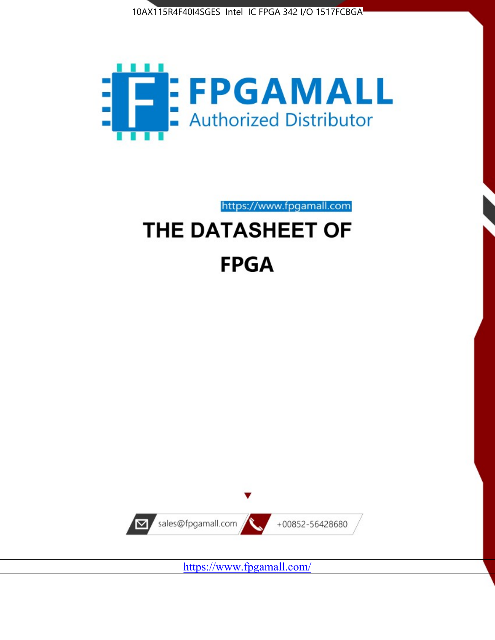



https://www.fpgamall.com

# THE DATASHEET OF **FPGA**



<https://www.fpgamall.com/>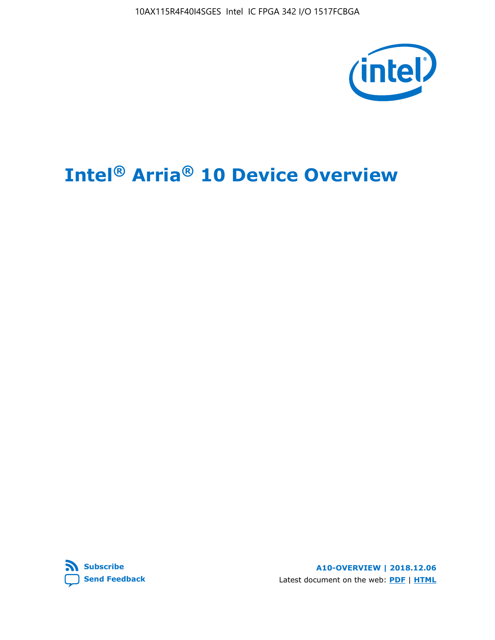10AX115R4F40I4SGES Intel IC FPGA 342 I/O 1517FCBGA



# **Intel® Arria® 10 Device Overview**



**A10-OVERVIEW | 2018.12.06** Latest document on the web: **[PDF](https://www.intel.com/content/dam/www/programmable/us/en/pdfs/literature/hb/arria-10/a10_overview.pdf)** | **[HTML](https://www.intel.com/content/www/us/en/programmable/documentation/sam1403480274650.html)**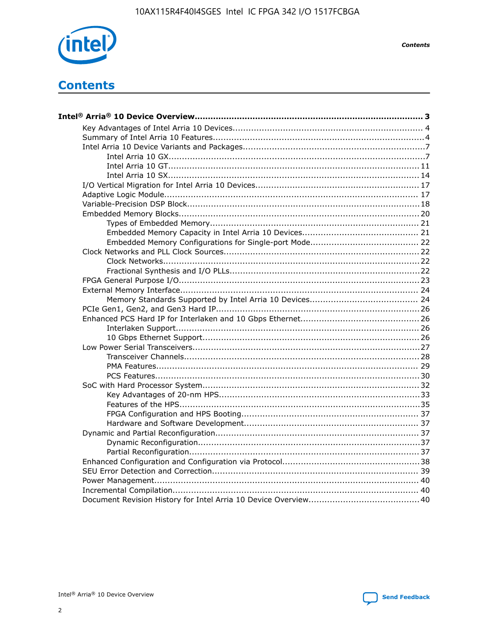

**Contents** 

# **Contents**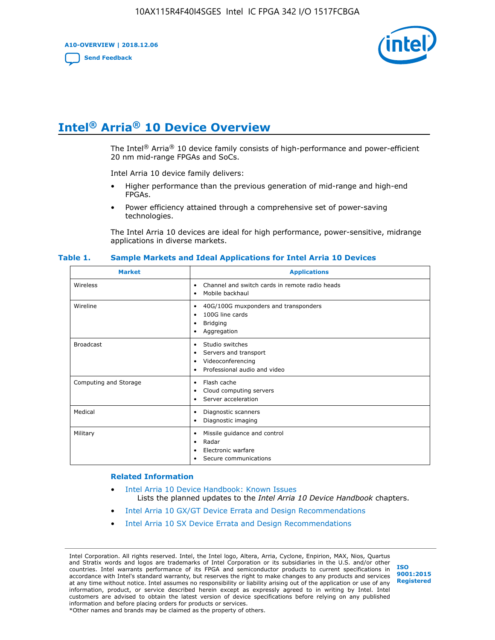**A10-OVERVIEW | 2018.12.06**

**[Send Feedback](mailto:FPGAtechdocfeedback@intel.com?subject=Feedback%20on%20Intel%20Arria%2010%20Device%20Overview%20(A10-OVERVIEW%202018.12.06)&body=We%20appreciate%20your%20feedback.%20In%20your%20comments,%20also%20specify%20the%20page%20number%20or%20paragraph.%20Thank%20you.)**



# **Intel® Arria® 10 Device Overview**

The Intel<sup>®</sup> Arria<sup>®</sup> 10 device family consists of high-performance and power-efficient 20 nm mid-range FPGAs and SoCs.

Intel Arria 10 device family delivers:

- Higher performance than the previous generation of mid-range and high-end FPGAs.
- Power efficiency attained through a comprehensive set of power-saving technologies.

The Intel Arria 10 devices are ideal for high performance, power-sensitive, midrange applications in diverse markets.

| <b>Market</b>         | <b>Applications</b>                                                                                               |
|-----------------------|-------------------------------------------------------------------------------------------------------------------|
| Wireless              | Channel and switch cards in remote radio heads<br>٠<br>Mobile backhaul<br>٠                                       |
| Wireline              | 40G/100G muxponders and transponders<br>٠<br>100G line cards<br>٠<br><b>Bridging</b><br>٠<br>Aggregation<br>٠     |
| <b>Broadcast</b>      | Studio switches<br>٠<br>Servers and transport<br>٠<br>Videoconferencing<br>٠<br>Professional audio and video<br>٠ |
| Computing and Storage | Flash cache<br>٠<br>Cloud computing servers<br>٠<br>Server acceleration<br>٠                                      |
| Medical               | Diagnostic scanners<br>٠<br>Diagnostic imaging<br>٠                                                               |
| Military              | Missile guidance and control<br>٠<br>Radar<br>٠<br>Electronic warfare<br>٠<br>Secure communications<br>٠          |

#### **Table 1. Sample Markets and Ideal Applications for Intel Arria 10 Devices**

#### **Related Information**

- [Intel Arria 10 Device Handbook: Known Issues](http://www.altera.com/support/kdb/solutions/rd07302013_646.html) Lists the planned updates to the *Intel Arria 10 Device Handbook* chapters.
- [Intel Arria 10 GX/GT Device Errata and Design Recommendations](https://www.intel.com/content/www/us/en/programmable/documentation/agz1493851706374.html#yqz1494433888646)
- [Intel Arria 10 SX Device Errata and Design Recommendations](https://www.intel.com/content/www/us/en/programmable/documentation/cru1462832385668.html#cru1462832558642)

Intel Corporation. All rights reserved. Intel, the Intel logo, Altera, Arria, Cyclone, Enpirion, MAX, Nios, Quartus and Stratix words and logos are trademarks of Intel Corporation or its subsidiaries in the U.S. and/or other countries. Intel warrants performance of its FPGA and semiconductor products to current specifications in accordance with Intel's standard warranty, but reserves the right to make changes to any products and services at any time without notice. Intel assumes no responsibility or liability arising out of the application or use of any information, product, or service described herein except as expressly agreed to in writing by Intel. Intel customers are advised to obtain the latest version of device specifications before relying on any published information and before placing orders for products or services. \*Other names and brands may be claimed as the property of others.

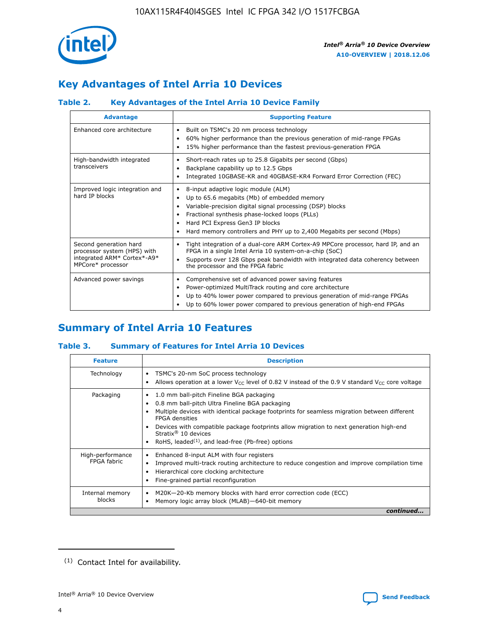

## **Key Advantages of Intel Arria 10 Devices**

## **Table 2. Key Advantages of the Intel Arria 10 Device Family**

| <b>Advantage</b>                                                                                          | <b>Supporting Feature</b>                                                                                                                                                                                                                                                                                                     |  |  |  |  |  |
|-----------------------------------------------------------------------------------------------------------|-------------------------------------------------------------------------------------------------------------------------------------------------------------------------------------------------------------------------------------------------------------------------------------------------------------------------------|--|--|--|--|--|
| Enhanced core architecture                                                                                | Built on TSMC's 20 nm process technology<br>٠<br>60% higher performance than the previous generation of mid-range FPGAs<br>٠<br>15% higher performance than the fastest previous-generation FPGA<br>٠                                                                                                                         |  |  |  |  |  |
| High-bandwidth integrated<br>transceivers                                                                 | Short-reach rates up to 25.8 Gigabits per second (Gbps)<br>٠<br>Backplane capability up to 12.5 Gbps<br>٠<br>Integrated 10GBASE-KR and 40GBASE-KR4 Forward Error Correction (FEC)<br>٠                                                                                                                                        |  |  |  |  |  |
| Improved logic integration and<br>hard IP blocks                                                          | 8-input adaptive logic module (ALM)<br>٠<br>Up to 65.6 megabits (Mb) of embedded memory<br>٠<br>Variable-precision digital signal processing (DSP) blocks<br>Fractional synthesis phase-locked loops (PLLs)<br>٠<br>Hard PCI Express Gen3 IP blocks<br>Hard memory controllers and PHY up to 2,400 Megabits per second (Mbps) |  |  |  |  |  |
| Second generation hard<br>processor system (HPS) with<br>integrated ARM* Cortex*-A9*<br>MPCore* processor | Tight integration of a dual-core ARM Cortex-A9 MPCore processor, hard IP, and an<br>٠<br>FPGA in a single Intel Arria 10 system-on-a-chip (SoC)<br>Supports over 128 Gbps peak bandwidth with integrated data coherency between<br>$\bullet$<br>the processor and the FPGA fabric                                             |  |  |  |  |  |
| Advanced power savings                                                                                    | Comprehensive set of advanced power saving features<br>٠<br>Power-optimized MultiTrack routing and core architecture<br>٠<br>Up to 40% lower power compared to previous generation of mid-range FPGAs<br>Up to 60% lower power compared to previous generation of high-end FPGAs<br>٠                                         |  |  |  |  |  |

## **Summary of Intel Arria 10 Features**

## **Table 3. Summary of Features for Intel Arria 10 Devices**

| <b>Feature</b>                  | <b>Description</b>                                                                                                                                                                                                                                                                                                                                                                                       |
|---------------------------------|----------------------------------------------------------------------------------------------------------------------------------------------------------------------------------------------------------------------------------------------------------------------------------------------------------------------------------------------------------------------------------------------------------|
| Technology                      | TSMC's 20-nm SoC process technology<br>٠<br>Allows operation at a lower $V_{\text{CC}}$ level of 0.82 V instead of the 0.9 V standard $V_{\text{CC}}$ core voltage                                                                                                                                                                                                                                       |
| Packaging                       | 1.0 mm ball-pitch Fineline BGA packaging<br>0.8 mm ball-pitch Ultra Fineline BGA packaging<br>Multiple devices with identical package footprints for seamless migration between different<br><b>FPGA</b> densities<br>Devices with compatible package footprints allow migration to next generation high-end<br>Stratix $\mathcal{R}$ 10 devices<br>RoHS, leaded $(1)$ , and lead-free (Pb-free) options |
| High-performance<br>FPGA fabric | Enhanced 8-input ALM with four registers<br>٠<br>Improved multi-track routing architecture to reduce congestion and improve compilation time<br>Hierarchical core clocking architecture<br>Fine-grained partial reconfiguration                                                                                                                                                                          |
| Internal memory<br>blocks       | M20K-20-Kb memory blocks with hard error correction code (ECC)<br>Memory logic array block (MLAB)-640-bit memory                                                                                                                                                                                                                                                                                         |
|                                 | continued                                                                                                                                                                                                                                                                                                                                                                                                |



<sup>(1)</sup> Contact Intel for availability.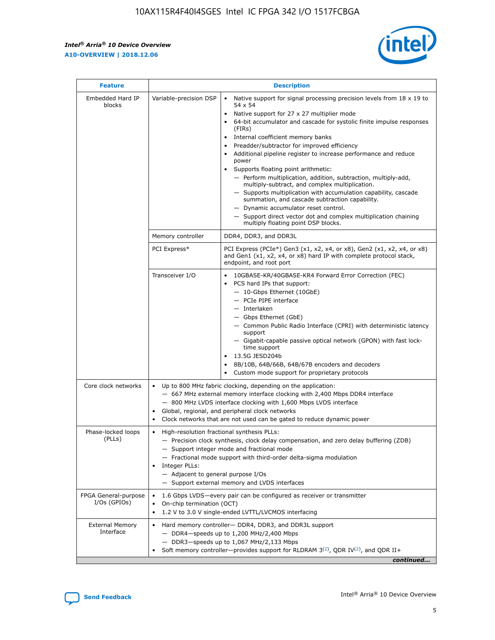r



| <b>Feature</b>                         |                                                                                                                                                                                                                                                                                                                                   | <b>Description</b>                                                                                                                                                                                                                                                                                                                                                                                                                                                                                                                                                                                                                                                                                                                                                                                                                                               |  |  |  |  |  |
|----------------------------------------|-----------------------------------------------------------------------------------------------------------------------------------------------------------------------------------------------------------------------------------------------------------------------------------------------------------------------------------|------------------------------------------------------------------------------------------------------------------------------------------------------------------------------------------------------------------------------------------------------------------------------------------------------------------------------------------------------------------------------------------------------------------------------------------------------------------------------------------------------------------------------------------------------------------------------------------------------------------------------------------------------------------------------------------------------------------------------------------------------------------------------------------------------------------------------------------------------------------|--|--|--|--|--|
| Embedded Hard IP<br>blocks             | Variable-precision DSP                                                                                                                                                                                                                                                                                                            | Native support for signal processing precision levels from $18 \times 19$ to<br>$\bullet$<br>54 x 54<br>Native support for 27 x 27 multiplier mode<br>$\bullet$<br>64-bit accumulator and cascade for systolic finite impulse responses<br>(FIRs)<br>Internal coefficient memory banks<br>$\bullet$<br>Preadder/subtractor for improved efficiency<br>Additional pipeline register to increase performance and reduce<br>power<br>Supports floating point arithmetic:<br>- Perform multiplication, addition, subtraction, multiply-add,<br>multiply-subtract, and complex multiplication.<br>- Supports multiplication with accumulation capability, cascade<br>summation, and cascade subtraction capability.<br>- Dynamic accumulator reset control.<br>- Support direct vector dot and complex multiplication chaining<br>multiply floating point DSP blocks. |  |  |  |  |  |
|                                        | Memory controller                                                                                                                                                                                                                                                                                                                 | DDR4, DDR3, and DDR3L                                                                                                                                                                                                                                                                                                                                                                                                                                                                                                                                                                                                                                                                                                                                                                                                                                            |  |  |  |  |  |
|                                        | PCI Express*                                                                                                                                                                                                                                                                                                                      | PCI Express (PCIe*) Gen3 (x1, x2, x4, or x8), Gen2 (x1, x2, x4, or x8)<br>and Gen1 (x1, x2, x4, or x8) hard IP with complete protocol stack,<br>endpoint, and root port                                                                                                                                                                                                                                                                                                                                                                                                                                                                                                                                                                                                                                                                                          |  |  |  |  |  |
|                                        | Transceiver I/O                                                                                                                                                                                                                                                                                                                   | 10GBASE-KR/40GBASE-KR4 Forward Error Correction (FEC)<br>PCS hard IPs that support:<br>- 10-Gbps Ethernet (10GbE)<br>- PCIe PIPE interface<br>- Interlaken<br>- Gbps Ethernet (GbE)<br>- Common Public Radio Interface (CPRI) with deterministic latency<br>support<br>- Gigabit-capable passive optical network (GPON) with fast lock-<br>time support<br>13.5G JESD204b<br>$\bullet$<br>8B/10B, 64B/66B, 64B/67B encoders and decoders<br>Custom mode support for proprietary protocols                                                                                                                                                                                                                                                                                                                                                                        |  |  |  |  |  |
| Core clock networks                    | $\bullet$                                                                                                                                                                                                                                                                                                                         | Up to 800 MHz fabric clocking, depending on the application:<br>- 667 MHz external memory interface clocking with 2,400 Mbps DDR4 interface<br>- 800 MHz LVDS interface clocking with 1,600 Mbps LVDS interface<br>Global, regional, and peripheral clock networks<br>Clock networks that are not used can be gated to reduce dynamic power                                                                                                                                                                                                                                                                                                                                                                                                                                                                                                                      |  |  |  |  |  |
| Phase-locked loops<br>(PLLs)           | High-resolution fractional synthesis PLLs:<br>$\bullet$<br>Integer PLLs:<br>- Adjacent to general purpose I/Os                                                                                                                                                                                                                    | - Precision clock synthesis, clock delay compensation, and zero delay buffering (ZDB)<br>- Support integer mode and fractional mode<br>- Fractional mode support with third-order delta-sigma modulation<br>- Support external memory and LVDS interfaces                                                                                                                                                                                                                                                                                                                                                                                                                                                                                                                                                                                                        |  |  |  |  |  |
| FPGA General-purpose<br>$I/Os$ (GPIOs) | On-chip termination (OCT)<br>٠<br>$\bullet$                                                                                                                                                                                                                                                                                       | 1.6 Gbps LVDS-every pair can be configured as receiver or transmitter                                                                                                                                                                                                                                                                                                                                                                                                                                                                                                                                                                                                                                                                                                                                                                                            |  |  |  |  |  |
| <b>External Memory</b><br>Interface    | 1.2 V to 3.0 V single-ended LVTTL/LVCMOS interfacing<br>Hard memory controller- DDR4, DDR3, and DDR3L support<br>$\bullet$<br>$-$ DDR4-speeds up to 1,200 MHz/2,400 Mbps<br>- DDR3-speeds up to 1,067 MHz/2,133 Mbps<br>Soft memory controller—provides support for RLDRAM $3^{(2)}$ , QDR IV $^{(2)}$ , and QDR II+<br>continued |                                                                                                                                                                                                                                                                                                                                                                                                                                                                                                                                                                                                                                                                                                                                                                                                                                                                  |  |  |  |  |  |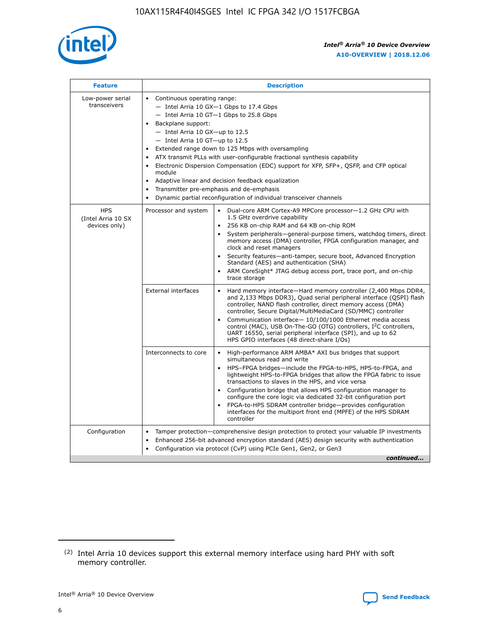

| <b>Feature</b>                                    | <b>Description</b>                                                                                                                                                                                                                                                                                                                                                                                                                                                                                                                                                                                                                             |
|---------------------------------------------------|------------------------------------------------------------------------------------------------------------------------------------------------------------------------------------------------------------------------------------------------------------------------------------------------------------------------------------------------------------------------------------------------------------------------------------------------------------------------------------------------------------------------------------------------------------------------------------------------------------------------------------------------|
| Low-power serial<br>transceivers                  | • Continuous operating range:<br>- Intel Arria 10 GX-1 Gbps to 17.4 Gbps<br>- Intel Arria 10 GT-1 Gbps to 25.8 Gbps<br>Backplane support:<br>$-$ Intel Arria 10 GX-up to 12.5<br>$-$ Intel Arria 10 GT-up to 12.5<br>Extended range down to 125 Mbps with oversampling<br>ATX transmit PLLs with user-configurable fractional synthesis capability<br>• Electronic Dispersion Compensation (EDC) support for XFP, SFP+, QSFP, and CFP optical<br>module<br>• Adaptive linear and decision feedback equalization<br>Transmitter pre-emphasis and de-emphasis<br>$\bullet$<br>Dynamic partial reconfiguration of individual transceiver channels |
| <b>HPS</b><br>(Intel Arria 10 SX<br>devices only) | Processor and system<br>Dual-core ARM Cortex-A9 MPCore processor-1.2 GHz CPU with<br>$\bullet$<br>1.5 GHz overdrive capability<br>256 KB on-chip RAM and 64 KB on-chip ROM<br>$\bullet$<br>System peripherals-general-purpose timers, watchdog timers, direct<br>memory access (DMA) controller, FPGA configuration manager, and<br>clock and reset managers<br>• Security features—anti-tamper, secure boot, Advanced Encryption<br>Standard (AES) and authentication (SHA)<br>ARM CoreSight* JTAG debug access port, trace port, and on-chip<br>trace storage                                                                                |
|                                                   | <b>External interfaces</b><br>Hard memory interface—Hard memory controller (2,400 Mbps DDR4,<br>$\bullet$<br>and 2,133 Mbps DDR3), Quad serial peripheral interface (QSPI) flash<br>controller, NAND flash controller, direct memory access (DMA)<br>controller, Secure Digital/MultiMediaCard (SD/MMC) controller<br>Communication interface-10/100/1000 Ethernet media access<br>control (MAC), USB On-The-GO (OTG) controllers, I <sup>2</sup> C controllers,<br>UART 16550, serial peripheral interface (SPI), and up to 62<br>HPS GPIO interfaces (48 direct-share I/Os)                                                                  |
|                                                   | High-performance ARM AMBA* AXI bus bridges that support<br>Interconnects to core<br>$\bullet$<br>simultaneous read and write<br>HPS-FPGA bridges—include the FPGA-to-HPS, HPS-to-FPGA, and<br>$\bullet$<br>lightweight HPS-to-FPGA bridges that allow the FPGA fabric to issue<br>transactions to slaves in the HPS, and vice versa<br>Configuration bridge that allows HPS configuration manager to<br>configure the core logic via dedicated 32-bit configuration port<br>FPGA-to-HPS SDRAM controller bridge-provides configuration<br>interfaces for the multiport front end (MPFE) of the HPS SDRAM<br>controller                         |
| Configuration                                     | Tamper protection—comprehensive design protection to protect your valuable IP investments<br>Enhanced 256-bit advanced encryption standard (AES) design security with authentication<br>$\bullet$<br>Configuration via protocol (CvP) using PCIe Gen1, Gen2, or Gen3<br>continued                                                                                                                                                                                                                                                                                                                                                              |

<sup>(2)</sup> Intel Arria 10 devices support this external memory interface using hard PHY with soft memory controller.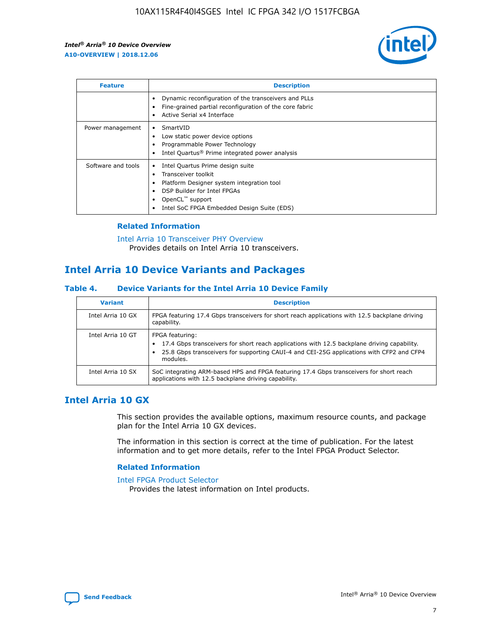

| <b>Feature</b>     | <b>Description</b>                                                                                                                                                                                               |
|--------------------|------------------------------------------------------------------------------------------------------------------------------------------------------------------------------------------------------------------|
|                    | Dynamic reconfiguration of the transceivers and PLLs<br>Fine-grained partial reconfiguration of the core fabric<br>Active Serial x4 Interface<br>$\bullet$                                                       |
| Power management   | SmartVID<br>Low static power device options<br>Programmable Power Technology<br>Intel Quartus <sup>®</sup> Prime integrated power analysis                                                                       |
| Software and tools | Intel Quartus Prime design suite<br>Transceiver toolkit<br>Platform Designer system integration tool<br>DSP Builder for Intel FPGAs<br>OpenCL <sup>™</sup> support<br>Intel SoC FPGA Embedded Design Suite (EDS) |

## **Related Information**

[Intel Arria 10 Transceiver PHY Overview](https://www.intel.com/content/www/us/en/programmable/documentation/nik1398707230472.html#nik1398706768037) Provides details on Intel Arria 10 transceivers.

## **Intel Arria 10 Device Variants and Packages**

#### **Table 4. Device Variants for the Intel Arria 10 Device Family**

| <b>Variant</b>    | <b>Description</b>                                                                                                                                                                                                     |
|-------------------|------------------------------------------------------------------------------------------------------------------------------------------------------------------------------------------------------------------------|
| Intel Arria 10 GX | FPGA featuring 17.4 Gbps transceivers for short reach applications with 12.5 backplane driving<br>capability.                                                                                                          |
| Intel Arria 10 GT | FPGA featuring:<br>17.4 Gbps transceivers for short reach applications with 12.5 backplane driving capability.<br>25.8 Gbps transceivers for supporting CAUI-4 and CEI-25G applications with CFP2 and CFP4<br>modules. |
| Intel Arria 10 SX | SoC integrating ARM-based HPS and FPGA featuring 17.4 Gbps transceivers for short reach<br>applications with 12.5 backplane driving capability.                                                                        |

## **Intel Arria 10 GX**

This section provides the available options, maximum resource counts, and package plan for the Intel Arria 10 GX devices.

The information in this section is correct at the time of publication. For the latest information and to get more details, refer to the Intel FPGA Product Selector.

#### **Related Information**

#### [Intel FPGA Product Selector](http://www.altera.com/products/selector/psg-selector.html) Provides the latest information on Intel products.

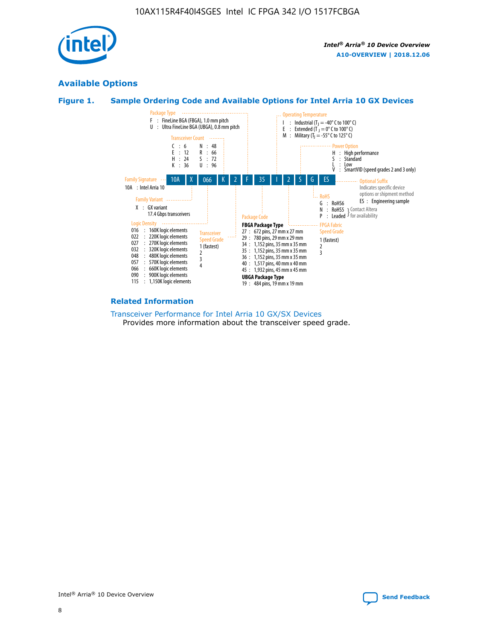

## **Available Options**





#### **Related Information**

[Transceiver Performance for Intel Arria 10 GX/SX Devices](https://www.intel.com/content/www/us/en/programmable/documentation/mcn1413182292568.html#mcn1413213965502) Provides more information about the transceiver speed grade.

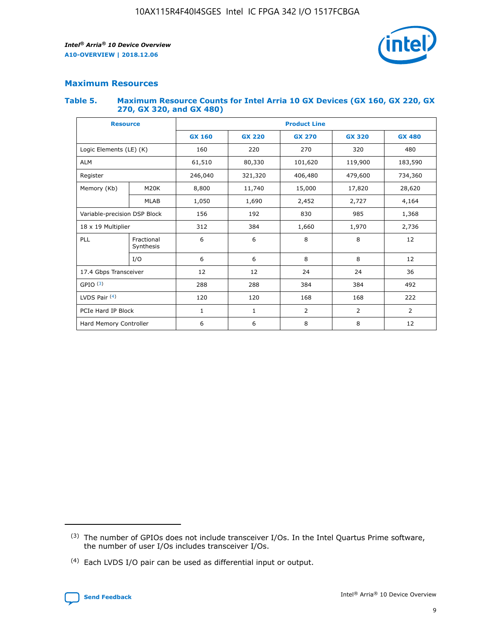

## **Maximum Resources**

#### **Table 5. Maximum Resource Counts for Intel Arria 10 GX Devices (GX 160, GX 220, GX 270, GX 320, and GX 480)**

| <b>Resource</b>         |                                     | <b>Product Line</b> |                                                 |                    |                |                |  |  |  |
|-------------------------|-------------------------------------|---------------------|-------------------------------------------------|--------------------|----------------|----------------|--|--|--|
|                         |                                     | <b>GX 160</b>       | <b>GX 220</b><br><b>GX 270</b><br><b>GX 320</b> |                    |                | <b>GX 480</b>  |  |  |  |
| Logic Elements (LE) (K) |                                     | 160                 | 220                                             | 270                | 320            | 480            |  |  |  |
| <b>ALM</b>              |                                     | 61,510              | 80,330                                          | 119,900<br>101,620 |                | 183,590        |  |  |  |
| Register                |                                     | 246,040             | 321,320                                         | 406,480            | 479,600        | 734,360        |  |  |  |
| Memory (Kb)             | M <sub>20</sub> K                   | 8,800               | 11,740                                          | 15,000             | 17,820         | 28,620         |  |  |  |
|                         | <b>MLAB</b>                         | 1,050               | 1,690                                           | 2,452              | 2,727          | 4,164          |  |  |  |
|                         | Variable-precision DSP Block<br>156 |                     | 192                                             | 830                | 985            | 1,368          |  |  |  |
| 18 x 19 Multiplier      |                                     | 312                 | 384                                             | 1,970<br>1,660     |                | 2,736          |  |  |  |
| PLL                     | Fractional<br>Synthesis             | 6                   | 6                                               | 8                  | 8              | 12             |  |  |  |
|                         | I/O                                 | 6                   | 6                                               | 8                  | 8              | 12             |  |  |  |
| 17.4 Gbps Transceiver   |                                     | 12                  | 12                                              | 24<br>24           |                | 36             |  |  |  |
| GPIO <sup>(3)</sup>     |                                     | 288                 | 288                                             | 384                | 384            | 492            |  |  |  |
| LVDS Pair $(4)$         |                                     | 120                 | 120                                             | 168                | 168            | 222            |  |  |  |
| PCIe Hard IP Block      |                                     | 1                   | 1                                               | 2                  | $\overline{2}$ | $\overline{2}$ |  |  |  |
| Hard Memory Controller  |                                     | 6                   | 6                                               | 8                  | 8              | 12             |  |  |  |

<sup>(4)</sup> Each LVDS I/O pair can be used as differential input or output.



<sup>(3)</sup> The number of GPIOs does not include transceiver I/Os. In the Intel Quartus Prime software, the number of user I/Os includes transceiver I/Os.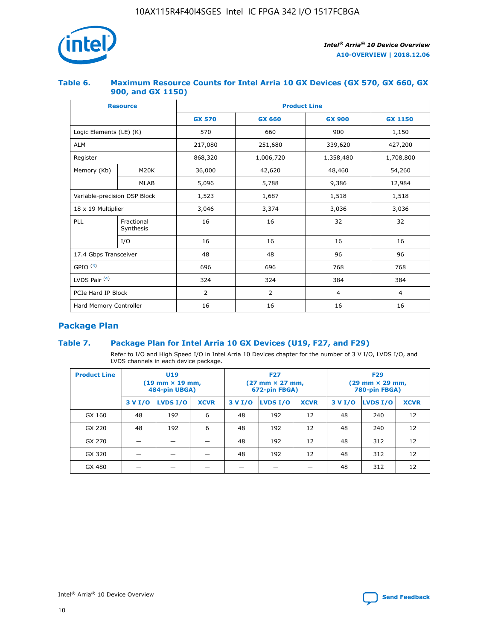

## **Table 6. Maximum Resource Counts for Intel Arria 10 GX Devices (GX 570, GX 660, GX 900, and GX 1150)**

|                              | <b>Resource</b>         | <b>Product Line</b> |               |                |                |  |  |  |
|------------------------------|-------------------------|---------------------|---------------|----------------|----------------|--|--|--|
|                              |                         | <b>GX 570</b>       | <b>GX 660</b> |                | <b>GX 1150</b> |  |  |  |
| Logic Elements (LE) (K)      |                         | 570                 | 660           | 900            | 1,150          |  |  |  |
| <b>ALM</b>                   |                         | 217,080             | 251,680       | 339,620        | 427,200        |  |  |  |
| Register                     |                         | 868,320             | 1,006,720     | 1,358,480      | 1,708,800      |  |  |  |
| Memory (Kb)                  | M <sub>20</sub> K       | 36,000              | 42,620        | 48,460         | 54,260         |  |  |  |
|                              | <b>MLAB</b>             | 5,096               | 5,788         | 9,386          | 12,984         |  |  |  |
| Variable-precision DSP Block |                         | 1,523               | 1,687         | 1,518          | 1,518          |  |  |  |
| 18 x 19 Multiplier           |                         | 3,046               | 3,374         | 3,036          | 3,036          |  |  |  |
| PLL                          | Fractional<br>Synthesis | 16                  | 16            | 32             | 32             |  |  |  |
|                              | I/O                     | 16                  | 16            | 16             | 16             |  |  |  |
| 17.4 Gbps Transceiver        |                         | 48                  | 96<br>48      |                | 96             |  |  |  |
| GPIO <sup>(3)</sup>          |                         | 696                 | 696           | 768            | 768            |  |  |  |
| LVDS Pair $(4)$              |                         | 324                 | 324           | 384            | 384            |  |  |  |
| PCIe Hard IP Block           |                         | $\overline{2}$      | 2             | $\overline{4}$ | 4              |  |  |  |
| Hard Memory Controller       |                         | 16                  | 16            | 16             | 16             |  |  |  |

## **Package Plan**

## **Table 7. Package Plan for Intel Arria 10 GX Devices (U19, F27, and F29)**

Refer to I/O and High Speed I/O in Intel Arria 10 Devices chapter for the number of 3 V I/O, LVDS I/O, and LVDS channels in each device package.

| <b>Product Line</b> | <b>U19</b><br>$(19 \text{ mm} \times 19 \text{ mm})$<br>484-pin UBGA) |          |             |         | <b>F27</b><br>(27 mm × 27 mm,<br>672-pin FBGA) |             | <b>F29</b><br>(29 mm × 29 mm,<br>780-pin FBGA) |          |             |  |
|---------------------|-----------------------------------------------------------------------|----------|-------------|---------|------------------------------------------------|-------------|------------------------------------------------|----------|-------------|--|
|                     | 3 V I/O                                                               | LVDS I/O | <b>XCVR</b> | 3 V I/O | <b>LVDS I/O</b>                                | <b>XCVR</b> | 3 V I/O                                        | LVDS I/O | <b>XCVR</b> |  |
| GX 160              | 48                                                                    | 192      | 6           | 48      | 192                                            | 12          | 48                                             | 240      | 12          |  |
| GX 220              | 48                                                                    | 192      | 6           | 48      | 192                                            | 12          | 48                                             | 240      | 12          |  |
| GX 270              |                                                                       |          |             | 48      | 192                                            | 12          | 48                                             | 312      | 12          |  |
| GX 320              |                                                                       |          |             | 48      | 192                                            | 12          | 48                                             | 312      | 12          |  |
| GX 480              |                                                                       |          |             |         |                                                |             | 48                                             | 312      | 12          |  |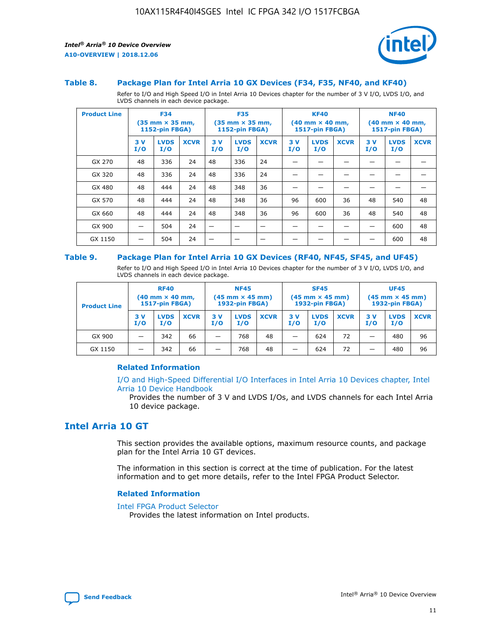

#### **Table 8. Package Plan for Intel Arria 10 GX Devices (F34, F35, NF40, and KF40)**

Refer to I/O and High Speed I/O in Intel Arria 10 Devices chapter for the number of 3 V I/O, LVDS I/O, and LVDS channels in each device package.

| <b>Product Line</b> | <b>F34</b><br>$(35 \text{ mm} \times 35 \text{ mm})$<br><b>1152-pin FBGA)</b> |                    | <b>F35</b><br>$(35 \text{ mm} \times 35 \text{ mm})$<br><b>1152-pin FBGA)</b> |           | <b>KF40</b><br>$(40$ mm $\times$ 40 mm,<br><b>1517-pin FBGA)</b> |             |           | <b>NF40</b><br>$(40 \text{ mm} \times 40 \text{ mm})$<br>1517-pin FBGA) |             |           |                    |             |
|---------------------|-------------------------------------------------------------------------------|--------------------|-------------------------------------------------------------------------------|-----------|------------------------------------------------------------------|-------------|-----------|-------------------------------------------------------------------------|-------------|-----------|--------------------|-------------|
|                     | 3V<br>I/O                                                                     | <b>LVDS</b><br>I/O | <b>XCVR</b>                                                                   | 3V<br>I/O | <b>LVDS</b><br>I/O                                               | <b>XCVR</b> | 3V<br>I/O | <b>LVDS</b><br>I/O                                                      | <b>XCVR</b> | 3V<br>I/O | <b>LVDS</b><br>I/O | <b>XCVR</b> |
| GX 270              | 48                                                                            | 336                | 24                                                                            | 48        | 336                                                              | 24          |           |                                                                         |             |           |                    |             |
| GX 320              | 48                                                                            | 336                | 24                                                                            | 48        | 336                                                              | 24          |           |                                                                         |             |           |                    |             |
| GX 480              | 48                                                                            | 444                | 24                                                                            | 48        | 348                                                              | 36          |           |                                                                         |             |           |                    |             |
| GX 570              | 48                                                                            | 444                | 24                                                                            | 48        | 348                                                              | 36          | 96        | 600                                                                     | 36          | 48        | 540                | 48          |
| GX 660              | 48                                                                            | 444                | 24                                                                            | 48        | 348                                                              | 36          | 96        | 600                                                                     | 36          | 48        | 540                | 48          |
| GX 900              |                                                                               | 504                | 24                                                                            | –         |                                                                  | -           |           |                                                                         |             |           | 600                | 48          |
| GX 1150             |                                                                               | 504                | 24                                                                            |           |                                                                  |             |           |                                                                         |             |           | 600                | 48          |

#### **Table 9. Package Plan for Intel Arria 10 GX Devices (RF40, NF45, SF45, and UF45)**

Refer to I/O and High Speed I/O in Intel Arria 10 Devices chapter for the number of 3 V I/O, LVDS I/O, and LVDS channels in each device package.

| <b>Product Line</b> | <b>RF40</b><br>$(40$ mm $\times$ 40 mm,<br>1517-pin FBGA) |                    |             | <b>NF45</b><br>$(45 \text{ mm} \times 45 \text{ mm})$<br><b>1932-pin FBGA)</b> |                    |             | <b>SF45</b><br>$(45 \text{ mm} \times 45 \text{ mm})$<br><b>1932-pin FBGA)</b> |                    |             | <b>UF45</b><br>$(45 \text{ mm} \times 45 \text{ mm})$<br><b>1932-pin FBGA)</b> |                    |             |
|---------------------|-----------------------------------------------------------|--------------------|-------------|--------------------------------------------------------------------------------|--------------------|-------------|--------------------------------------------------------------------------------|--------------------|-------------|--------------------------------------------------------------------------------|--------------------|-------------|
|                     | 3V<br>I/O                                                 | <b>LVDS</b><br>I/O | <b>XCVR</b> | 3 V<br>I/O                                                                     | <b>LVDS</b><br>I/O | <b>XCVR</b> | 3 V<br>I/O                                                                     | <b>LVDS</b><br>I/O | <b>XCVR</b> | 3V<br>I/O                                                                      | <b>LVDS</b><br>I/O | <b>XCVR</b> |
| GX 900              |                                                           | 342                | 66          | _                                                                              | 768                | 48          |                                                                                | 624                | 72          |                                                                                | 480                | 96          |
| GX 1150             |                                                           | 342                | 66          | _                                                                              | 768                | 48          |                                                                                | 624                | 72          |                                                                                | 480                | 96          |

#### **Related Information**

[I/O and High-Speed Differential I/O Interfaces in Intel Arria 10 Devices chapter, Intel](https://www.intel.com/content/www/us/en/programmable/documentation/sam1403482614086.html#sam1403482030321) [Arria 10 Device Handbook](https://www.intel.com/content/www/us/en/programmable/documentation/sam1403482614086.html#sam1403482030321)

Provides the number of 3 V and LVDS I/Os, and LVDS channels for each Intel Arria 10 device package.

## **Intel Arria 10 GT**

This section provides the available options, maximum resource counts, and package plan for the Intel Arria 10 GT devices.

The information in this section is correct at the time of publication. For the latest information and to get more details, refer to the Intel FPGA Product Selector.

#### **Related Information**

#### [Intel FPGA Product Selector](http://www.altera.com/products/selector/psg-selector.html)

Provides the latest information on Intel products.

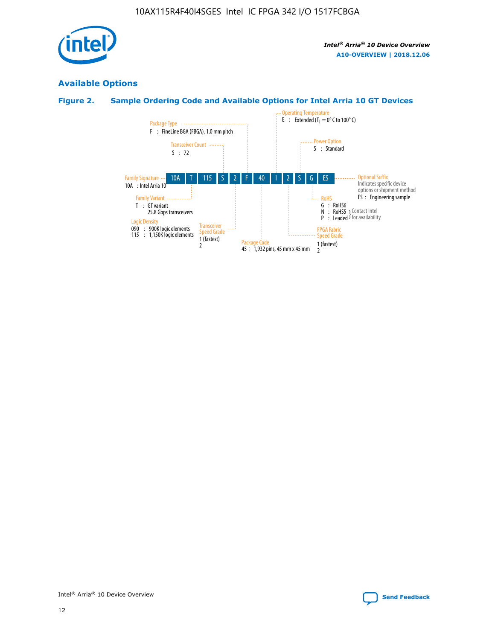

## **Available Options**

## **Figure 2. Sample Ordering Code and Available Options for Intel Arria 10 GT Devices**

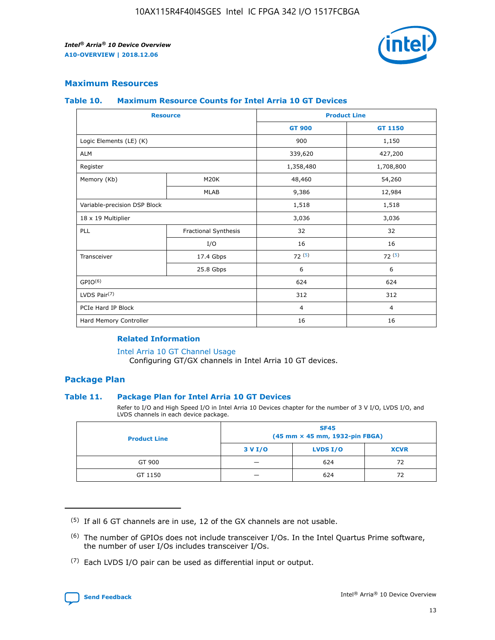

## **Maximum Resources**

#### **Table 10. Maximum Resource Counts for Intel Arria 10 GT Devices**

| <b>Resource</b>              |                      | <b>Product Line</b> |                |  |
|------------------------------|----------------------|---------------------|----------------|--|
|                              |                      | <b>GT 900</b>       | <b>GT 1150</b> |  |
| Logic Elements (LE) (K)      |                      | 900                 | 1,150          |  |
| <b>ALM</b>                   |                      | 339,620             | 427,200        |  |
| Register                     |                      | 1,358,480           | 1,708,800      |  |
| Memory (Kb)                  | M20K                 | 48,460              | 54,260         |  |
|                              | <b>MLAB</b>          | 9,386               | 12,984         |  |
| Variable-precision DSP Block |                      | 1,518               | 1,518          |  |
| 18 x 19 Multiplier           |                      | 3,036               | 3,036          |  |
| PLL                          | Fractional Synthesis | 32                  | 32             |  |
|                              | I/O                  | 16                  | 16             |  |
| Transceiver                  | 17.4 Gbps            | 72(5)               | 72(5)          |  |
|                              | 25.8 Gbps            | 6                   | 6              |  |
| GPIO <sup>(6)</sup>          |                      | 624                 | 624            |  |
| LVDS Pair $(7)$              |                      | 312                 | 312            |  |
| PCIe Hard IP Block           |                      | $\overline{4}$      | $\overline{4}$ |  |
| Hard Memory Controller       |                      | 16                  | 16             |  |

#### **Related Information**

#### [Intel Arria 10 GT Channel Usage](https://www.intel.com/content/www/us/en/programmable/documentation/nik1398707230472.html#nik1398707008178)

Configuring GT/GX channels in Intel Arria 10 GT devices.

## **Package Plan**

#### **Table 11. Package Plan for Intel Arria 10 GT Devices**

Refer to I/O and High Speed I/O in Intel Arria 10 Devices chapter for the number of 3 V I/O, LVDS I/O, and LVDS channels in each device package.

| <b>Product Line</b> | <b>SF45</b><br>(45 mm × 45 mm, 1932-pin FBGA) |                 |             |  |  |  |
|---------------------|-----------------------------------------------|-----------------|-------------|--|--|--|
|                     | 3 V I/O                                       | <b>LVDS I/O</b> | <b>XCVR</b> |  |  |  |
| GT 900              |                                               | 624             | 72          |  |  |  |
| GT 1150             |                                               | 624             | 72          |  |  |  |

<sup>(7)</sup> Each LVDS I/O pair can be used as differential input or output.



 $(5)$  If all 6 GT channels are in use, 12 of the GX channels are not usable.

<sup>(6)</sup> The number of GPIOs does not include transceiver I/Os. In the Intel Quartus Prime software, the number of user I/Os includes transceiver I/Os.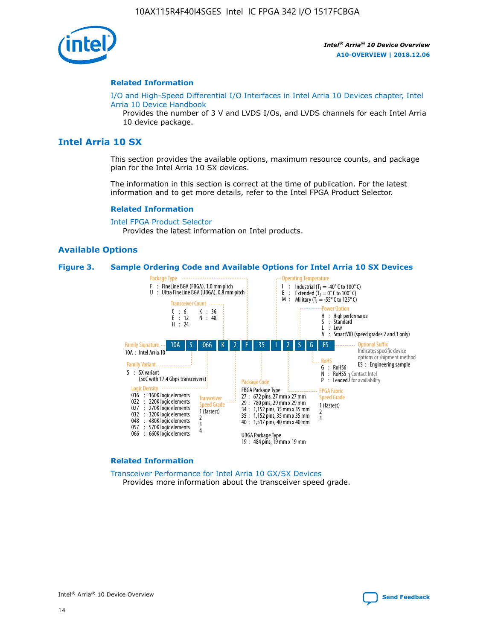

#### **Related Information**

[I/O and High-Speed Differential I/O Interfaces in Intel Arria 10 Devices chapter, Intel](https://www.intel.com/content/www/us/en/programmable/documentation/sam1403482614086.html#sam1403482030321) [Arria 10 Device Handbook](https://www.intel.com/content/www/us/en/programmable/documentation/sam1403482614086.html#sam1403482030321)

Provides the number of 3 V and LVDS I/Os, and LVDS channels for each Intel Arria 10 device package.

## **Intel Arria 10 SX**

This section provides the available options, maximum resource counts, and package plan for the Intel Arria 10 SX devices.

The information in this section is correct at the time of publication. For the latest information and to get more details, refer to the Intel FPGA Product Selector.

#### **Related Information**

[Intel FPGA Product Selector](http://www.altera.com/products/selector/psg-selector.html) Provides the latest information on Intel products.

#### **Available Options**

#### **Figure 3. Sample Ordering Code and Available Options for Intel Arria 10 SX Devices**



#### **Related Information**

[Transceiver Performance for Intel Arria 10 GX/SX Devices](https://www.intel.com/content/www/us/en/programmable/documentation/mcn1413182292568.html#mcn1413213965502) Provides more information about the transceiver speed grade.

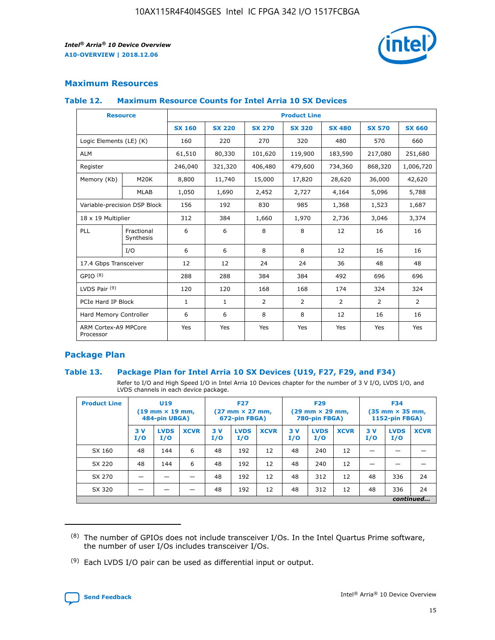

## **Maximum Resources**

#### **Table 12. Maximum Resource Counts for Intel Arria 10 SX Devices**

| <b>Resource</b>                   |                         | <b>Product Line</b> |               |                |                |                |                |                |  |  |  |
|-----------------------------------|-------------------------|---------------------|---------------|----------------|----------------|----------------|----------------|----------------|--|--|--|
|                                   |                         | <b>SX 160</b>       | <b>SX 220</b> | <b>SX 270</b>  | <b>SX 320</b>  | <b>SX 480</b>  | <b>SX 570</b>  | <b>SX 660</b>  |  |  |  |
| Logic Elements (LE) (K)           |                         | 160                 | 220           | 270            | 320            | 480            | 570            | 660            |  |  |  |
| <b>ALM</b>                        |                         | 61,510              | 80,330        | 101,620        | 119,900        | 183,590        | 217,080        | 251,680        |  |  |  |
| Register                          |                         | 246,040             | 321,320       | 406,480        | 479,600        | 734,360        | 868,320        | 1,006,720      |  |  |  |
| Memory (Kb)                       | <b>M20K</b>             | 8,800               | 11,740        | 15,000         | 17,820         | 28,620         | 36,000         | 42,620         |  |  |  |
|                                   | <b>MLAB</b>             | 1,050               | 1,690         | 2,452          | 2,727          | 4,164          | 5,096          | 5,788          |  |  |  |
| Variable-precision DSP Block      |                         | 156                 | 192           | 830            | 985            | 1,368          | 1,523          | 1,687          |  |  |  |
| 18 x 19 Multiplier                |                         | 312                 | 384           | 1,660          | 1,970          | 2,736          | 3,046          | 3,374          |  |  |  |
| PLL                               | Fractional<br>Synthesis | 6                   | 6             | 8              | 8              | 12             | 16             | 16             |  |  |  |
|                                   | I/O                     | 6                   | 6             | 8              | 8              | 12             | 16             | 16             |  |  |  |
| 17.4 Gbps Transceiver             |                         | 12                  | 12            | 24             | 24             | 36             | 48             | 48             |  |  |  |
| GPIO <sup>(8)</sup>               |                         | 288                 | 288           | 384            | 384            | 492            | 696            | 696            |  |  |  |
| LVDS Pair $(9)$                   |                         | 120                 | 120           | 168            | 168            | 174            | 324            | 324            |  |  |  |
| PCIe Hard IP Block                |                         | $\mathbf{1}$        | $\mathbf{1}$  | $\overline{2}$ | $\overline{2}$ | $\overline{2}$ | $\overline{2}$ | $\overline{2}$ |  |  |  |
| Hard Memory Controller            |                         | 6                   | 6             | 8              | 8              | 12             | 16             | 16             |  |  |  |
| ARM Cortex-A9 MPCore<br>Processor |                         | Yes                 | Yes           | Yes            | Yes            | Yes            | Yes            | <b>Yes</b>     |  |  |  |

## **Package Plan**

#### **Table 13. Package Plan for Intel Arria 10 SX Devices (U19, F27, F29, and F34)**

Refer to I/O and High Speed I/O in Intel Arria 10 Devices chapter for the number of 3 V I/O, LVDS I/O, and LVDS channels in each device package.

| <b>Product Line</b> | <b>U19</b><br>$(19 \text{ mm} \times 19 \text{ mm})$<br>484-pin UBGA) |                    | <b>F27</b><br>$(27 \text{ mm} \times 27 \text{ mm})$<br>672-pin FBGA) |           | <b>F29</b><br>$(29$ mm $\times$ 29 mm,<br>780-pin FBGA) |             |            | <b>F34</b><br>$(35 \text{ mm} \times 35 \text{ mm})$<br>1152-pin FBGA) |             |           |                    |             |
|---------------------|-----------------------------------------------------------------------|--------------------|-----------------------------------------------------------------------|-----------|---------------------------------------------------------|-------------|------------|------------------------------------------------------------------------|-------------|-----------|--------------------|-------------|
|                     | 3V<br>I/O                                                             | <b>LVDS</b><br>I/O | <b>XCVR</b>                                                           | 3V<br>I/O | <b>LVDS</b><br>I/O                                      | <b>XCVR</b> | 3 V<br>I/O | <b>LVDS</b><br>I/O                                                     | <b>XCVR</b> | 3V<br>I/O | <b>LVDS</b><br>I/O | <b>XCVR</b> |
| SX 160              | 48                                                                    | 144                | 6                                                                     | 48        | 192                                                     | 12          | 48         | 240                                                                    | 12          | –         |                    |             |
| SX 220              | 48                                                                    | 144                | 6                                                                     | 48        | 192                                                     | 12          | 48         | 240                                                                    | 12          |           |                    |             |
| SX 270              |                                                                       |                    |                                                                       | 48        | 192                                                     | 12          | 48         | 312                                                                    | 12          | 48        | 336                | 24          |
| SX 320              |                                                                       |                    |                                                                       | 48        | 192                                                     | 12          | 48         | 312                                                                    | 12          | 48        | 336                | 24          |
|                     | continued                                                             |                    |                                                                       |           |                                                         |             |            |                                                                        |             |           |                    |             |

 $(8)$  The number of GPIOs does not include transceiver I/Os. In the Intel Quartus Prime software, the number of user I/Os includes transceiver I/Os.

 $(9)$  Each LVDS I/O pair can be used as differential input or output.

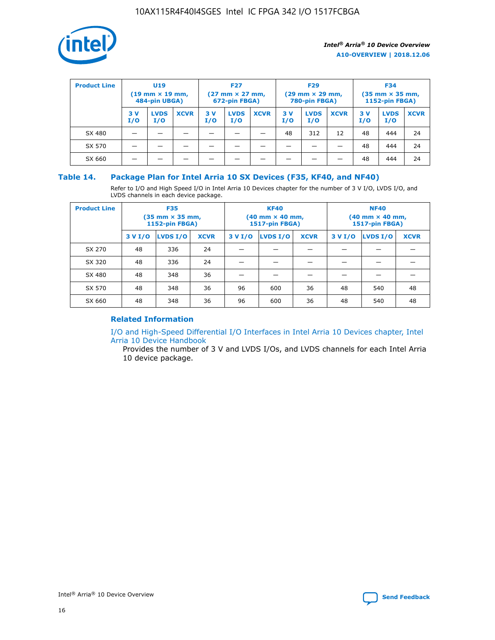

| <b>Product Line</b> | U <sub>19</sub><br>$(19 \text{ mm} \times 19 \text{ mm})$<br>484-pin UBGA) |                    | <b>F27</b><br>$(27 \text{ mm} \times 27 \text{ mm})$<br>672-pin FBGA) |           | <b>F29</b><br>$(29$ mm $\times$ 29 mm,<br>780-pin FBGA) |             |           | <b>F34</b><br>$(35$ mm $\times$ 35 mm,<br><b>1152-pin FBGA)</b> |             |            |                    |             |
|---------------------|----------------------------------------------------------------------------|--------------------|-----------------------------------------------------------------------|-----------|---------------------------------------------------------|-------------|-----------|-----------------------------------------------------------------|-------------|------------|--------------------|-------------|
|                     | 3 V<br>I/O                                                                 | <b>LVDS</b><br>I/O | <b>XCVR</b>                                                           | 3V<br>I/O | <b>LVDS</b><br>I/O                                      | <b>XCVR</b> | 3V<br>I/O | <b>LVDS</b><br>I/O                                              | <b>XCVR</b> | 3 V<br>I/O | <b>LVDS</b><br>I/O | <b>XCVR</b> |
| SX 480              |                                                                            |                    |                                                                       |           |                                                         |             | 48        | 312                                                             | 12          | 48         | 444                | 24          |
| SX 570              |                                                                            |                    |                                                                       |           |                                                         |             |           |                                                                 |             | 48         | 444                | 24          |
| SX 660              |                                                                            |                    |                                                                       |           |                                                         |             |           |                                                                 |             | 48         | 444                | 24          |

## **Table 14. Package Plan for Intel Arria 10 SX Devices (F35, KF40, and NF40)**

Refer to I/O and High Speed I/O in Intel Arria 10 Devices chapter for the number of 3 V I/O, LVDS I/O, and LVDS channels in each device package.

| <b>Product Line</b> | <b>F35</b><br>(35 mm × 35 mm,<br><b>1152-pin FBGA)</b> |          |             |                                           | <b>KF40</b><br>(40 mm × 40 mm,<br>1517-pin FBGA) |    | <b>NF40</b><br>$(40 \text{ mm} \times 40 \text{ mm})$<br><b>1517-pin FBGA)</b> |          |             |  |
|---------------------|--------------------------------------------------------|----------|-------------|-------------------------------------------|--------------------------------------------------|----|--------------------------------------------------------------------------------|----------|-------------|--|
|                     | 3 V I/O                                                | LVDS I/O | <b>XCVR</b> | <b>LVDS I/O</b><br><b>XCVR</b><br>3 V I/O |                                                  |    | 3 V I/O                                                                        | LVDS I/O | <b>XCVR</b> |  |
| SX 270              | 48                                                     | 336      | 24          |                                           |                                                  |    |                                                                                |          |             |  |
| SX 320              | 48                                                     | 336      | 24          |                                           |                                                  |    |                                                                                |          |             |  |
| SX 480              | 48                                                     | 348      | 36          |                                           |                                                  |    |                                                                                |          |             |  |
| SX 570              | 48                                                     | 348      | 36          | 96<br>36<br>600                           |                                                  | 48 | 540                                                                            | 48       |             |  |
| SX 660              | 48                                                     | 348      | 36          | 96                                        | 600                                              | 36 | 48                                                                             | 540      | 48          |  |

## **Related Information**

[I/O and High-Speed Differential I/O Interfaces in Intel Arria 10 Devices chapter, Intel](https://www.intel.com/content/www/us/en/programmable/documentation/sam1403482614086.html#sam1403482030321) [Arria 10 Device Handbook](https://www.intel.com/content/www/us/en/programmable/documentation/sam1403482614086.html#sam1403482030321)

Provides the number of 3 V and LVDS I/Os, and LVDS channels for each Intel Arria 10 device package.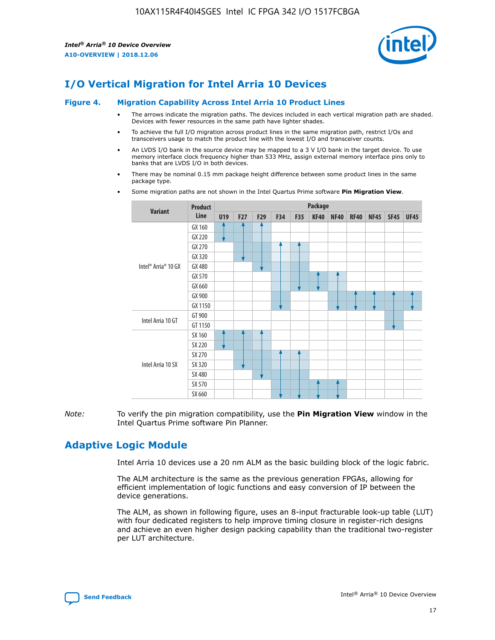

## **I/O Vertical Migration for Intel Arria 10 Devices**

#### **Figure 4. Migration Capability Across Intel Arria 10 Product Lines**

- The arrows indicate the migration paths. The devices included in each vertical migration path are shaded. Devices with fewer resources in the same path have lighter shades.
- To achieve the full I/O migration across product lines in the same migration path, restrict I/Os and transceivers usage to match the product line with the lowest I/O and transceiver counts.
- An LVDS I/O bank in the source device may be mapped to a 3 V I/O bank in the target device. To use memory interface clock frequency higher than 533 MHz, assign external memory interface pins only to banks that are LVDS I/O in both devices.
- There may be nominal 0.15 mm package height difference between some product lines in the same package type.
	- **Variant Product Line Package U19 F27 F29 F34 F35 KF40 NF40 RF40 NF45 SF45 UF45** Intel® Arria® 10 GX GX 160 GX 220 GX 270 GX 320 GX 480 GX 570 GX 660 GX 900 GX 1150 Intel Arria 10 GT GT 900 GT 1150 Intel Arria 10 SX SX 160 SX 220 SX 270 SX 320 SX 480 SX 570 SX 660
- Some migration paths are not shown in the Intel Quartus Prime software **Pin Migration View**.

*Note:* To verify the pin migration compatibility, use the **Pin Migration View** window in the Intel Quartus Prime software Pin Planner.

## **Adaptive Logic Module**

Intel Arria 10 devices use a 20 nm ALM as the basic building block of the logic fabric.

The ALM architecture is the same as the previous generation FPGAs, allowing for efficient implementation of logic functions and easy conversion of IP between the device generations.

The ALM, as shown in following figure, uses an 8-input fracturable look-up table (LUT) with four dedicated registers to help improve timing closure in register-rich designs and achieve an even higher design packing capability than the traditional two-register per LUT architecture.

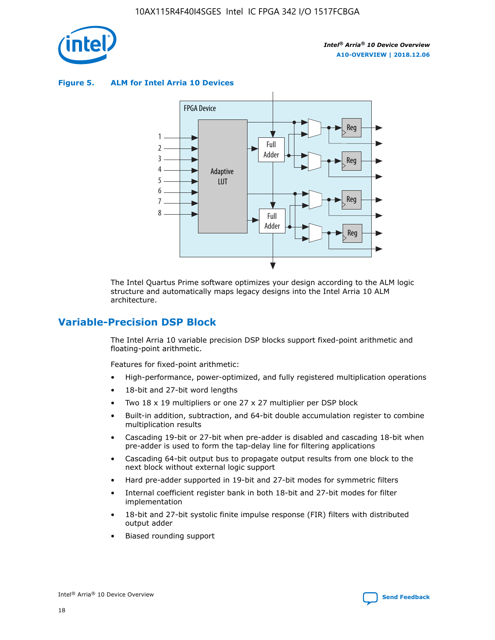

**Figure 5. ALM for Intel Arria 10 Devices**



The Intel Quartus Prime software optimizes your design according to the ALM logic structure and automatically maps legacy designs into the Intel Arria 10 ALM architecture.

## **Variable-Precision DSP Block**

The Intel Arria 10 variable precision DSP blocks support fixed-point arithmetic and floating-point arithmetic.

Features for fixed-point arithmetic:

- High-performance, power-optimized, and fully registered multiplication operations
- 18-bit and 27-bit word lengths
- Two 18 x 19 multipliers or one 27 x 27 multiplier per DSP block
- Built-in addition, subtraction, and 64-bit double accumulation register to combine multiplication results
- Cascading 19-bit or 27-bit when pre-adder is disabled and cascading 18-bit when pre-adder is used to form the tap-delay line for filtering applications
- Cascading 64-bit output bus to propagate output results from one block to the next block without external logic support
- Hard pre-adder supported in 19-bit and 27-bit modes for symmetric filters
- Internal coefficient register bank in both 18-bit and 27-bit modes for filter implementation
- 18-bit and 27-bit systolic finite impulse response (FIR) filters with distributed output adder
- Biased rounding support

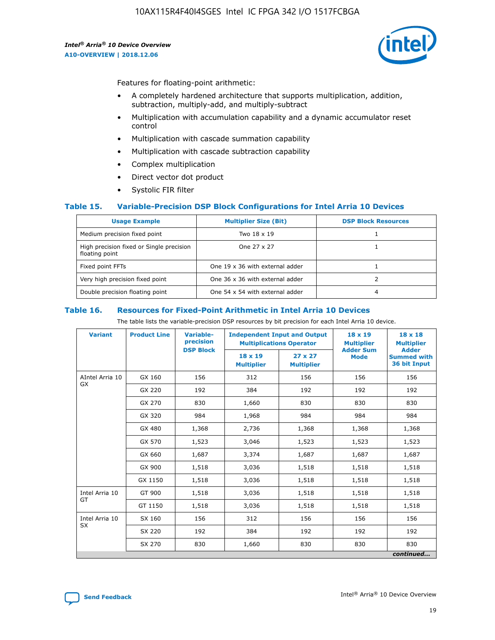

Features for floating-point arithmetic:

- A completely hardened architecture that supports multiplication, addition, subtraction, multiply-add, and multiply-subtract
- Multiplication with accumulation capability and a dynamic accumulator reset control
- Multiplication with cascade summation capability
- Multiplication with cascade subtraction capability
- Complex multiplication
- Direct vector dot product
- Systolic FIR filter

#### **Table 15. Variable-Precision DSP Block Configurations for Intel Arria 10 Devices**

| <b>Usage Example</b>                                       | <b>Multiplier Size (Bit)</b>    | <b>DSP Block Resources</b> |
|------------------------------------------------------------|---------------------------------|----------------------------|
| Medium precision fixed point                               | Two 18 x 19                     |                            |
| High precision fixed or Single precision<br>floating point | One 27 x 27                     |                            |
| Fixed point FFTs                                           | One 19 x 36 with external adder |                            |
| Very high precision fixed point                            | One 36 x 36 with external adder |                            |
| Double precision floating point                            | One 54 x 54 with external adder | 4                          |

#### **Table 16. Resources for Fixed-Point Arithmetic in Intel Arria 10 Devices**

The table lists the variable-precision DSP resources by bit precision for each Intel Arria 10 device.

| <b>Variant</b>               | <b>Product Line</b> | Variable-<br>precision<br><b>DSP Block</b> | <b>Independent Input and Output</b><br><b>Multiplications Operator</b> |                                                    | $18 \times 19$<br><b>Multiplier</b><br><b>Adder Sum</b> | $18 \times 18$<br><b>Multiplier</b><br><b>Adder</b> |
|------------------------------|---------------------|--------------------------------------------|------------------------------------------------------------------------|----------------------------------------------------|---------------------------------------------------------|-----------------------------------------------------|
|                              |                     |                                            | $18 \times 19$<br><b>Multiplier</b>                                    | $27 \times 27$<br><b>Mode</b><br><b>Multiplier</b> |                                                         | <b>Summed with</b><br>36 bit Input                  |
| AIntel Arria 10<br><b>GX</b> | GX 160              | 156                                        | 312                                                                    | 156                                                | 156                                                     | 156                                                 |
|                              | GX 220              | 192                                        | 384                                                                    | 192                                                | 192                                                     | 192                                                 |
|                              | GX 270              | 830                                        | 1,660                                                                  | 830                                                | 830                                                     | 830                                                 |
|                              | GX 320              | 984                                        | 1,968                                                                  | 984                                                | 984                                                     | 984                                                 |
|                              | GX 480              | 1,368                                      | 2,736                                                                  | 1,368                                              | 1,368                                                   | 1,368                                               |
|                              | GX 570              | 1,523                                      | 3,046                                                                  | 1,523                                              | 1,523                                                   | 1,523                                               |
|                              | GX 660              | 1,687                                      | 3,374                                                                  | 1,687                                              | 1,687                                                   | 1,687                                               |
|                              | GX 900              | 1,518                                      | 3,036                                                                  | 1,518                                              | 1,518                                                   | 1,518                                               |
|                              | GX 1150             | 1,518                                      | 3,036                                                                  | 1,518                                              | 1,518                                                   | 1,518                                               |
| Intel Arria 10               | GT 900              | 1,518                                      | 3,036                                                                  | 1,518                                              | 1,518                                                   | 1,518                                               |
| GT                           | GT 1150             | 1,518                                      | 3,036                                                                  | 1,518                                              | 1,518                                                   | 1,518                                               |
| Intel Arria 10               | SX 160              | 156                                        | 312                                                                    | 156                                                | 156                                                     | 156                                                 |
| <b>SX</b>                    | SX 220              | 192                                        | 384                                                                    | 192                                                | 192                                                     | 192                                                 |
|                              | SX 270              | 830                                        | 1,660                                                                  | 830                                                | 830                                                     | 830                                                 |
|                              |                     |                                            |                                                                        |                                                    |                                                         | continued                                           |

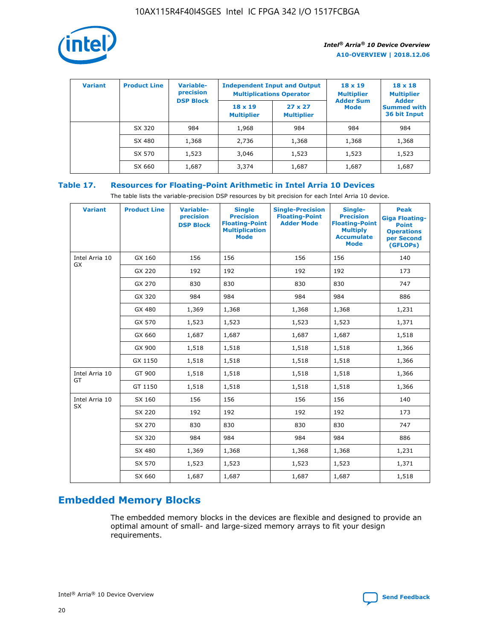

| <b>Variant</b> | <b>Product Line</b> | Variable-<br>precision | <b>Independent Input and Output</b><br><b>Multiplications Operator</b> |                                     | $18 \times 19$<br><b>Multiplier</b> | $18 \times 18$<br><b>Multiplier</b><br><b>Adder</b> |  |
|----------------|---------------------|------------------------|------------------------------------------------------------------------|-------------------------------------|-------------------------------------|-----------------------------------------------------|--|
|                |                     | <b>DSP Block</b>       | $18 \times 19$<br><b>Multiplier</b>                                    | $27 \times 27$<br><b>Multiplier</b> | <b>Adder Sum</b><br><b>Mode</b>     | <b>Summed with</b><br>36 bit Input                  |  |
|                | SX 320              | 984                    | 1,968                                                                  | 984                                 | 984                                 | 984                                                 |  |
|                | SX 480              | 1,368                  | 2,736                                                                  | 1,368                               | 1,368                               | 1,368                                               |  |
|                | SX 570              | 1,523                  | 3,046                                                                  | 1,523                               | 1,523                               | 1,523                                               |  |
|                | SX 660              | 1,687                  | 3,374                                                                  | 1,687                               | 1,687                               | 1,687                                               |  |

## **Table 17. Resources for Floating-Point Arithmetic in Intel Arria 10 Devices**

The table lists the variable-precision DSP resources by bit precision for each Intel Arria 10 device.

| <b>Variant</b> | <b>Product Line</b> | <b>Variable-</b><br>precision<br><b>DSP Block</b> | <b>Single</b><br><b>Precision</b><br><b>Floating-Point</b><br><b>Multiplication</b><br><b>Mode</b> | <b>Single-Precision</b><br><b>Floating-Point</b><br><b>Adder Mode</b> | Single-<br><b>Precision</b><br><b>Floating-Point</b><br><b>Multiply</b><br><b>Accumulate</b><br><b>Mode</b> | <b>Peak</b><br><b>Giga Floating-</b><br><b>Point</b><br><b>Operations</b><br>per Second<br>(GFLOPs) |
|----------------|---------------------|---------------------------------------------------|----------------------------------------------------------------------------------------------------|-----------------------------------------------------------------------|-------------------------------------------------------------------------------------------------------------|-----------------------------------------------------------------------------------------------------|
| Intel Arria 10 | GX 160              | 156                                               | 156                                                                                                | 156                                                                   | 156                                                                                                         | 140                                                                                                 |
| GX             | GX 220              | 192                                               | 192                                                                                                | 192                                                                   | 192                                                                                                         | 173                                                                                                 |
|                | GX 270              | 830                                               | 830                                                                                                | 830                                                                   | 830                                                                                                         | 747                                                                                                 |
|                | GX 320              | 984                                               | 984                                                                                                | 984                                                                   | 984                                                                                                         | 886                                                                                                 |
|                | GX 480              | 1,369                                             | 1,368                                                                                              | 1,368                                                                 | 1,368                                                                                                       | 1,231                                                                                               |
|                | GX 570              | 1,523                                             | 1,523                                                                                              | 1,523                                                                 | 1,523                                                                                                       | 1,371                                                                                               |
|                | GX 660              | 1,687                                             | 1,687                                                                                              | 1,687                                                                 | 1,687                                                                                                       | 1,518                                                                                               |
|                | GX 900              | 1,518                                             | 1,518                                                                                              | 1,518                                                                 | 1,518                                                                                                       | 1,366                                                                                               |
|                | GX 1150             | 1,518                                             | 1,518                                                                                              | 1,518                                                                 | 1,518                                                                                                       | 1,366                                                                                               |
| Intel Arria 10 | GT 900              | 1,518                                             | 1,518                                                                                              | 1,518                                                                 | 1,518                                                                                                       | 1,366                                                                                               |
| GT             | GT 1150             | 1,518                                             | 1,518                                                                                              | 1,518                                                                 | 1,518                                                                                                       | 1,366                                                                                               |
| Intel Arria 10 | SX 160              | 156                                               | 156                                                                                                | 156                                                                   | 156                                                                                                         | 140                                                                                                 |
| SX             | SX 220              | 192                                               | 192                                                                                                | 192                                                                   | 192                                                                                                         | 173                                                                                                 |
|                | SX 270              | 830                                               | 830                                                                                                | 830                                                                   | 830                                                                                                         | 747                                                                                                 |
|                | SX 320              | 984                                               | 984                                                                                                | 984                                                                   | 984                                                                                                         | 886                                                                                                 |
|                | SX 480              | 1,369                                             | 1,368                                                                                              | 1,368                                                                 | 1,368                                                                                                       | 1,231                                                                                               |
|                | SX 570              | 1,523                                             | 1,523                                                                                              | 1,523                                                                 | 1,523                                                                                                       | 1,371                                                                                               |
|                | SX 660              | 1,687                                             | 1,687                                                                                              | 1,687                                                                 | 1,687                                                                                                       | 1,518                                                                                               |

# **Embedded Memory Blocks**

The embedded memory blocks in the devices are flexible and designed to provide an optimal amount of small- and large-sized memory arrays to fit your design requirements.

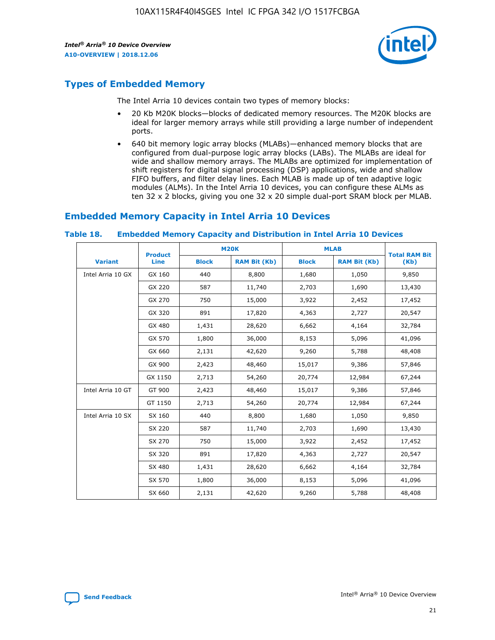

## **Types of Embedded Memory**

The Intel Arria 10 devices contain two types of memory blocks:

- 20 Kb M20K blocks—blocks of dedicated memory resources. The M20K blocks are ideal for larger memory arrays while still providing a large number of independent ports.
- 640 bit memory logic array blocks (MLABs)—enhanced memory blocks that are configured from dual-purpose logic array blocks (LABs). The MLABs are ideal for wide and shallow memory arrays. The MLABs are optimized for implementation of shift registers for digital signal processing (DSP) applications, wide and shallow FIFO buffers, and filter delay lines. Each MLAB is made up of ten adaptive logic modules (ALMs). In the Intel Arria 10 devices, you can configure these ALMs as ten 32 x 2 blocks, giving you one 32 x 20 simple dual-port SRAM block per MLAB.

## **Embedded Memory Capacity in Intel Arria 10 Devices**

|                   | <b>Product</b> |              | <b>M20K</b>         | <b>MLAB</b>  |                     | <b>Total RAM Bit</b> |
|-------------------|----------------|--------------|---------------------|--------------|---------------------|----------------------|
| <b>Variant</b>    | <b>Line</b>    | <b>Block</b> | <b>RAM Bit (Kb)</b> | <b>Block</b> | <b>RAM Bit (Kb)</b> | (Kb)                 |
| Intel Arria 10 GX | GX 160         | 440          | 8,800               | 1,680        | 1,050               | 9,850                |
|                   | GX 220         | 587          | 11,740              | 2,703        | 1,690               | 13,430               |
|                   | GX 270         | 750          | 15,000              | 3,922        | 2,452               | 17,452               |
|                   | GX 320         | 891          | 17,820              | 4,363        | 2,727               | 20,547               |
|                   | GX 480         | 1,431        | 28,620              | 6,662        | 4,164               | 32,784               |
|                   | GX 570         | 1,800        | 36,000              | 8,153        | 5,096               | 41,096               |
|                   | GX 660         | 2,131        | 42,620              | 9,260        | 5,788               | 48,408               |
|                   | GX 900         | 2,423        | 48,460              | 15,017       | 9,386               | 57,846               |
|                   | GX 1150        | 2,713        | 54,260              | 20,774       | 12,984              | 67,244               |
| Intel Arria 10 GT | GT 900         | 2,423        | 48,460              | 15,017       | 9,386               | 57,846               |
|                   | GT 1150        | 2,713        | 54,260              | 20,774       | 12,984              | 67,244               |
| Intel Arria 10 SX | SX 160         | 440          | 8,800               | 1,680        | 1,050               | 9,850                |
|                   | SX 220         | 587          | 11,740              | 2,703        | 1,690               | 13,430               |
|                   | SX 270         | 750          | 15,000              | 3,922        | 2,452               | 17,452               |
|                   | SX 320         | 891          | 17,820              | 4,363        | 2,727               | 20,547               |
|                   | SX 480         | 1,431        | 28,620              | 6,662        | 4,164               | 32,784               |
|                   | SX 570         | 1,800        | 36,000              | 8,153        | 5,096               | 41,096               |
|                   | SX 660         | 2,131        | 42,620              | 9,260        | 5,788               | 48,408               |

#### **Table 18. Embedded Memory Capacity and Distribution in Intel Arria 10 Devices**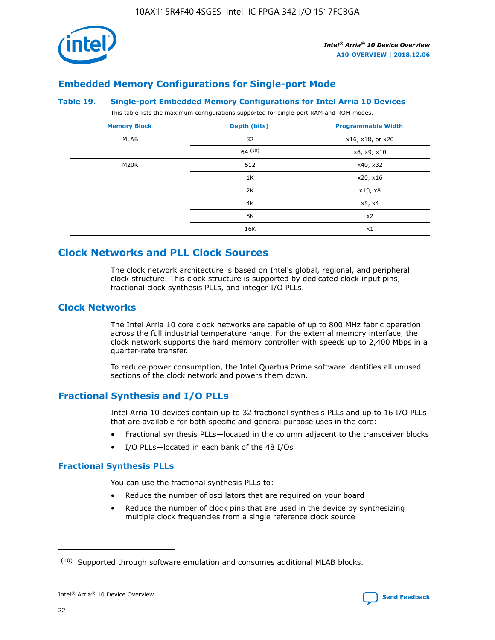

## **Embedded Memory Configurations for Single-port Mode**

#### **Table 19. Single-port Embedded Memory Configurations for Intel Arria 10 Devices**

This table lists the maximum configurations supported for single-port RAM and ROM modes.

| <b>Memory Block</b> | Depth (bits) | <b>Programmable Width</b> |
|---------------------|--------------|---------------------------|
| MLAB                | 32           | x16, x18, or x20          |
|                     | 64(10)       | x8, x9, x10               |
| M20K                | 512          | x40, x32                  |
|                     | 1K           | x20, x16                  |
|                     | 2K           | x10, x8                   |
|                     | 4K           | x5, x4                    |
|                     | 8K           | x2                        |
|                     | 16K          | x1                        |

## **Clock Networks and PLL Clock Sources**

The clock network architecture is based on Intel's global, regional, and peripheral clock structure. This clock structure is supported by dedicated clock input pins, fractional clock synthesis PLLs, and integer I/O PLLs.

## **Clock Networks**

The Intel Arria 10 core clock networks are capable of up to 800 MHz fabric operation across the full industrial temperature range. For the external memory interface, the clock network supports the hard memory controller with speeds up to 2,400 Mbps in a quarter-rate transfer.

To reduce power consumption, the Intel Quartus Prime software identifies all unused sections of the clock network and powers them down.

## **Fractional Synthesis and I/O PLLs**

Intel Arria 10 devices contain up to 32 fractional synthesis PLLs and up to 16 I/O PLLs that are available for both specific and general purpose uses in the core:

- Fractional synthesis PLLs—located in the column adjacent to the transceiver blocks
- I/O PLLs—located in each bank of the 48 I/Os

#### **Fractional Synthesis PLLs**

You can use the fractional synthesis PLLs to:

- Reduce the number of oscillators that are required on your board
- Reduce the number of clock pins that are used in the device by synthesizing multiple clock frequencies from a single reference clock source

<sup>(10)</sup> Supported through software emulation and consumes additional MLAB blocks.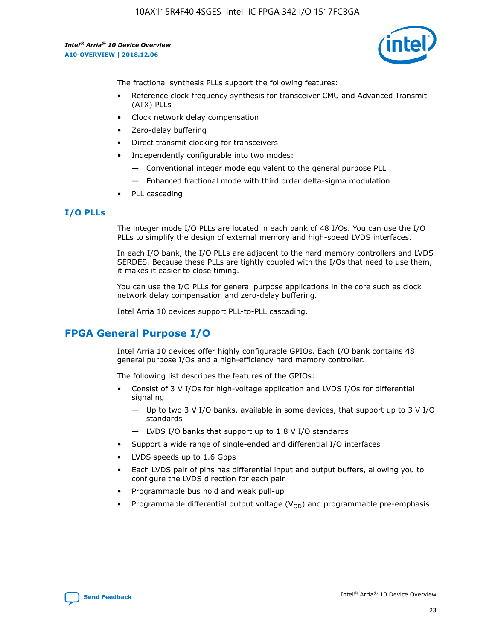

The fractional synthesis PLLs support the following features:

- Reference clock frequency synthesis for transceiver CMU and Advanced Transmit (ATX) PLLs
- Clock network delay compensation
- Zero-delay buffering
- Direct transmit clocking for transceivers
- Independently configurable into two modes:
	- Conventional integer mode equivalent to the general purpose PLL
	- Enhanced fractional mode with third order delta-sigma modulation
- PLL cascading

## **I/O PLLs**

The integer mode I/O PLLs are located in each bank of 48 I/Os. You can use the I/O PLLs to simplify the design of external memory and high-speed LVDS interfaces.

In each I/O bank, the I/O PLLs are adjacent to the hard memory controllers and LVDS SERDES. Because these PLLs are tightly coupled with the I/Os that need to use them, it makes it easier to close timing.

You can use the I/O PLLs for general purpose applications in the core such as clock network delay compensation and zero-delay buffering.

Intel Arria 10 devices support PLL-to-PLL cascading.

## **FPGA General Purpose I/O**

Intel Arria 10 devices offer highly configurable GPIOs. Each I/O bank contains 48 general purpose I/Os and a high-efficiency hard memory controller.

The following list describes the features of the GPIOs:

- Consist of 3 V I/Os for high-voltage application and LVDS I/Os for differential signaling
	- Up to two 3 V I/O banks, available in some devices, that support up to 3 V I/O standards
	- LVDS I/O banks that support up to 1.8 V I/O standards
- Support a wide range of single-ended and differential I/O interfaces
- LVDS speeds up to 1.6 Gbps
- Each LVDS pair of pins has differential input and output buffers, allowing you to configure the LVDS direction for each pair.
- Programmable bus hold and weak pull-up
- Programmable differential output voltage  $(V_{OD})$  and programmable pre-emphasis

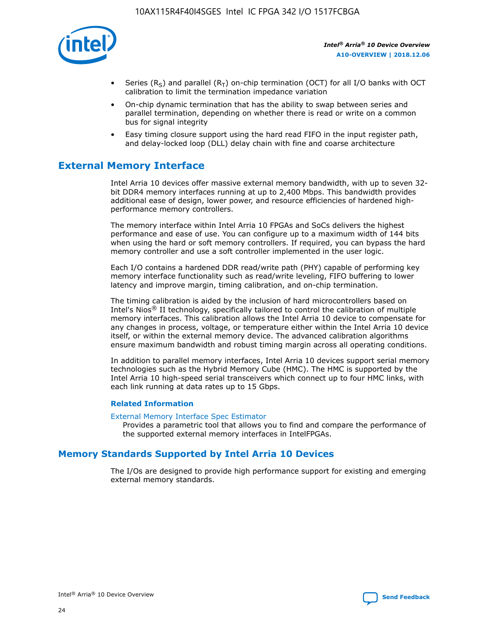

- Series (R<sub>S</sub>) and parallel (R<sub>T</sub>) on-chip termination (OCT) for all I/O banks with OCT calibration to limit the termination impedance variation
- On-chip dynamic termination that has the ability to swap between series and parallel termination, depending on whether there is read or write on a common bus for signal integrity
- Easy timing closure support using the hard read FIFO in the input register path, and delay-locked loop (DLL) delay chain with fine and coarse architecture

## **External Memory Interface**

Intel Arria 10 devices offer massive external memory bandwidth, with up to seven 32 bit DDR4 memory interfaces running at up to 2,400 Mbps. This bandwidth provides additional ease of design, lower power, and resource efficiencies of hardened highperformance memory controllers.

The memory interface within Intel Arria 10 FPGAs and SoCs delivers the highest performance and ease of use. You can configure up to a maximum width of 144 bits when using the hard or soft memory controllers. If required, you can bypass the hard memory controller and use a soft controller implemented in the user logic.

Each I/O contains a hardened DDR read/write path (PHY) capable of performing key memory interface functionality such as read/write leveling, FIFO buffering to lower latency and improve margin, timing calibration, and on-chip termination.

The timing calibration is aided by the inclusion of hard microcontrollers based on Intel's Nios® II technology, specifically tailored to control the calibration of multiple memory interfaces. This calibration allows the Intel Arria 10 device to compensate for any changes in process, voltage, or temperature either within the Intel Arria 10 device itself, or within the external memory device. The advanced calibration algorithms ensure maximum bandwidth and robust timing margin across all operating conditions.

In addition to parallel memory interfaces, Intel Arria 10 devices support serial memory technologies such as the Hybrid Memory Cube (HMC). The HMC is supported by the Intel Arria 10 high-speed serial transceivers which connect up to four HMC links, with each link running at data rates up to 15 Gbps.

#### **Related Information**

#### [External Memory Interface Spec Estimator](http://www.altera.com/technology/memory/estimator/mem-emif-index.html)

Provides a parametric tool that allows you to find and compare the performance of the supported external memory interfaces in IntelFPGAs.

## **Memory Standards Supported by Intel Arria 10 Devices**

The I/Os are designed to provide high performance support for existing and emerging external memory standards.

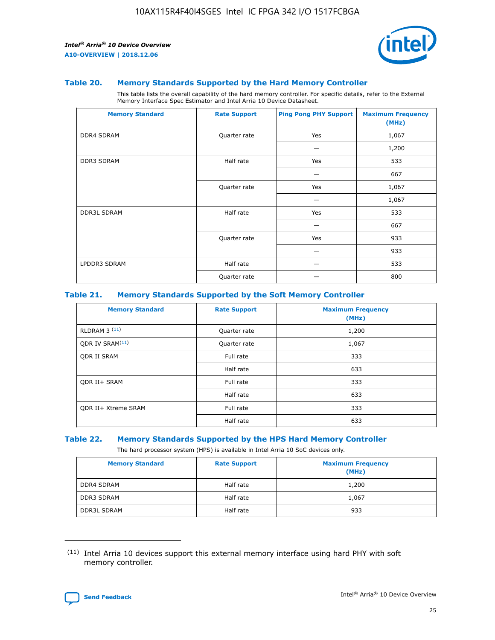

#### **Table 20. Memory Standards Supported by the Hard Memory Controller**

This table lists the overall capability of the hard memory controller. For specific details, refer to the External Memory Interface Spec Estimator and Intel Arria 10 Device Datasheet.

| <b>Memory Standard</b> | <b>Rate Support</b> | <b>Ping Pong PHY Support</b> | <b>Maximum Frequency</b><br>(MHz) |
|------------------------|---------------------|------------------------------|-----------------------------------|
| <b>DDR4 SDRAM</b>      | Quarter rate        | Yes                          | 1,067                             |
|                        |                     |                              | 1,200                             |
| DDR3 SDRAM             | Half rate           | Yes                          | 533                               |
|                        |                     |                              | 667                               |
|                        | Quarter rate        | Yes                          | 1,067                             |
|                        |                     |                              | 1,067                             |
| <b>DDR3L SDRAM</b>     | Half rate           | Yes                          | 533                               |
|                        |                     |                              | 667                               |
|                        | Quarter rate        | Yes                          | 933                               |
|                        |                     |                              | 933                               |
| LPDDR3 SDRAM           | Half rate           |                              | 533                               |
|                        | Quarter rate        |                              | 800                               |

#### **Table 21. Memory Standards Supported by the Soft Memory Controller**

| <b>Memory Standard</b>      | <b>Rate Support</b> | <b>Maximum Frequency</b><br>(MHz) |
|-----------------------------|---------------------|-----------------------------------|
| <b>RLDRAM 3 (11)</b>        | Quarter rate        | 1,200                             |
| ODR IV SRAM <sup>(11)</sup> | Quarter rate        | 1,067                             |
| <b>ODR II SRAM</b>          | Full rate           | 333                               |
|                             | Half rate           | 633                               |
| <b>ODR II+ SRAM</b>         | Full rate           | 333                               |
|                             | Half rate           | 633                               |
| <b>ODR II+ Xtreme SRAM</b>  | Full rate           | 333                               |
|                             | Half rate           | 633                               |

#### **Table 22. Memory Standards Supported by the HPS Hard Memory Controller**

The hard processor system (HPS) is available in Intel Arria 10 SoC devices only.

| <b>Memory Standard</b> | <b>Rate Support</b> | <b>Maximum Frequency</b><br>(MHz) |
|------------------------|---------------------|-----------------------------------|
| <b>DDR4 SDRAM</b>      | Half rate           | 1,200                             |
| <b>DDR3 SDRAM</b>      | Half rate           | 1,067                             |
| <b>DDR3L SDRAM</b>     | Half rate           | 933                               |

<sup>(11)</sup> Intel Arria 10 devices support this external memory interface using hard PHY with soft memory controller.

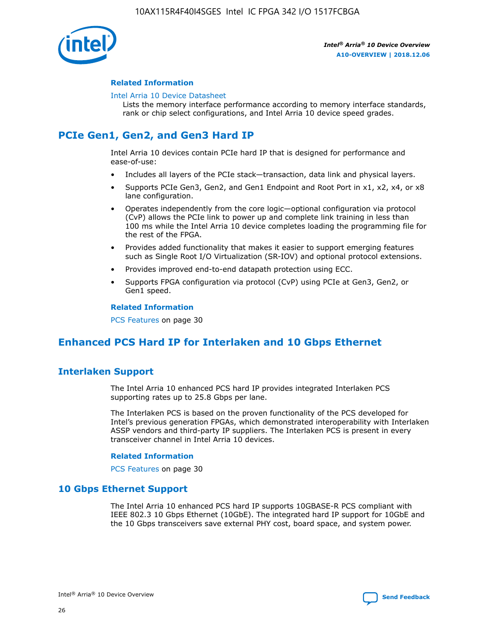

#### **Related Information**

#### [Intel Arria 10 Device Datasheet](https://www.intel.com/content/www/us/en/programmable/documentation/mcn1413182292568.html#mcn1413182153340)

Lists the memory interface performance according to memory interface standards, rank or chip select configurations, and Intel Arria 10 device speed grades.

## **PCIe Gen1, Gen2, and Gen3 Hard IP**

Intel Arria 10 devices contain PCIe hard IP that is designed for performance and ease-of-use:

- Includes all layers of the PCIe stack—transaction, data link and physical layers.
- Supports PCIe Gen3, Gen2, and Gen1 Endpoint and Root Port in x1, x2, x4, or x8 lane configuration.
- Operates independently from the core logic—optional configuration via protocol (CvP) allows the PCIe link to power up and complete link training in less than 100 ms while the Intel Arria 10 device completes loading the programming file for the rest of the FPGA.
- Provides added functionality that makes it easier to support emerging features such as Single Root I/O Virtualization (SR-IOV) and optional protocol extensions.
- Provides improved end-to-end datapath protection using ECC.
- Supports FPGA configuration via protocol (CvP) using PCIe at Gen3, Gen2, or Gen1 speed.

#### **Related Information**

PCS Features on page 30

## **Enhanced PCS Hard IP for Interlaken and 10 Gbps Ethernet**

## **Interlaken Support**

The Intel Arria 10 enhanced PCS hard IP provides integrated Interlaken PCS supporting rates up to 25.8 Gbps per lane.

The Interlaken PCS is based on the proven functionality of the PCS developed for Intel's previous generation FPGAs, which demonstrated interoperability with Interlaken ASSP vendors and third-party IP suppliers. The Interlaken PCS is present in every transceiver channel in Intel Arria 10 devices.

#### **Related Information**

PCS Features on page 30

## **10 Gbps Ethernet Support**

The Intel Arria 10 enhanced PCS hard IP supports 10GBASE-R PCS compliant with IEEE 802.3 10 Gbps Ethernet (10GbE). The integrated hard IP support for 10GbE and the 10 Gbps transceivers save external PHY cost, board space, and system power.

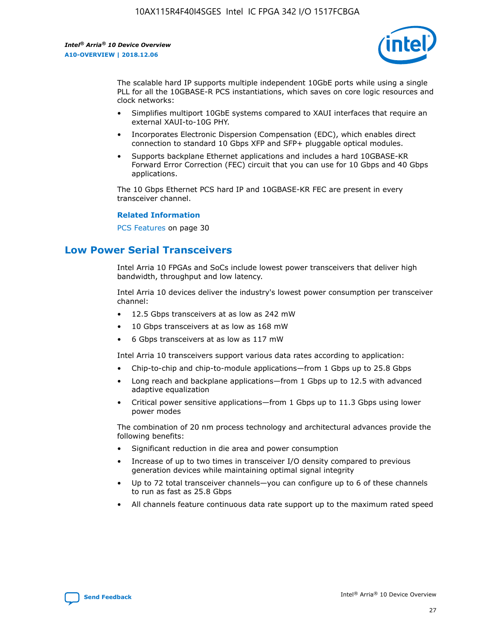

The scalable hard IP supports multiple independent 10GbE ports while using a single PLL for all the 10GBASE-R PCS instantiations, which saves on core logic resources and clock networks:

- Simplifies multiport 10GbE systems compared to XAUI interfaces that require an external XAUI-to-10G PHY.
- Incorporates Electronic Dispersion Compensation (EDC), which enables direct connection to standard 10 Gbps XFP and SFP+ pluggable optical modules.
- Supports backplane Ethernet applications and includes a hard 10GBASE-KR Forward Error Correction (FEC) circuit that you can use for 10 Gbps and 40 Gbps applications.

The 10 Gbps Ethernet PCS hard IP and 10GBASE-KR FEC are present in every transceiver channel.

#### **Related Information**

PCS Features on page 30

## **Low Power Serial Transceivers**

Intel Arria 10 FPGAs and SoCs include lowest power transceivers that deliver high bandwidth, throughput and low latency.

Intel Arria 10 devices deliver the industry's lowest power consumption per transceiver channel:

- 12.5 Gbps transceivers at as low as 242 mW
- 10 Gbps transceivers at as low as 168 mW
- 6 Gbps transceivers at as low as 117 mW

Intel Arria 10 transceivers support various data rates according to application:

- Chip-to-chip and chip-to-module applications—from 1 Gbps up to 25.8 Gbps
- Long reach and backplane applications—from 1 Gbps up to 12.5 with advanced adaptive equalization
- Critical power sensitive applications—from 1 Gbps up to 11.3 Gbps using lower power modes

The combination of 20 nm process technology and architectural advances provide the following benefits:

- Significant reduction in die area and power consumption
- Increase of up to two times in transceiver I/O density compared to previous generation devices while maintaining optimal signal integrity
- Up to 72 total transceiver channels—you can configure up to 6 of these channels to run as fast as 25.8 Gbps
- All channels feature continuous data rate support up to the maximum rated speed

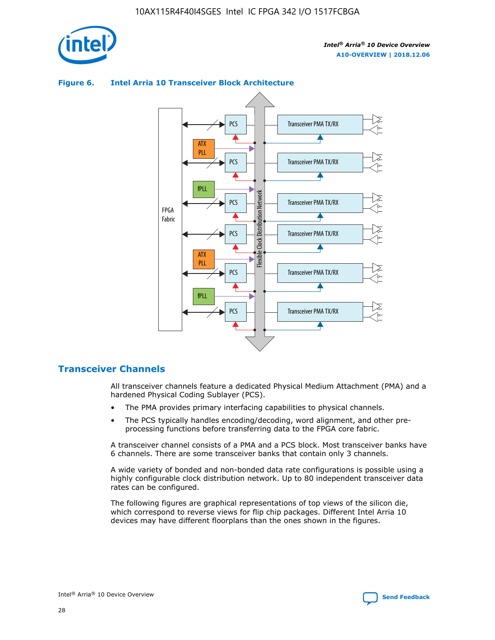

## Transceiver PMA TX/RX PCS ATX PLL Transceiver PMA TX/RX PCS fPLL Network Flexible Clock Distribution Network PCS Transceiver PMA TX/RX FPGA **Clock Distribution** Fabric PCS Transceiver PMA TX/RX ATX Flexible PLL PCS Transceiver PMA TX/RX ▲ fPLL Transceiver PMA TX/RX PCS 4

## **Figure 6. Intel Arria 10 Transceiver Block Architecture**

## **Transceiver Channels**

All transceiver channels feature a dedicated Physical Medium Attachment (PMA) and a hardened Physical Coding Sublayer (PCS).

- The PMA provides primary interfacing capabilities to physical channels.
- The PCS typically handles encoding/decoding, word alignment, and other preprocessing functions before transferring data to the FPGA core fabric.

A transceiver channel consists of a PMA and a PCS block. Most transceiver banks have 6 channels. There are some transceiver banks that contain only 3 channels.

A wide variety of bonded and non-bonded data rate configurations is possible using a highly configurable clock distribution network. Up to 80 independent transceiver data rates can be configured.

The following figures are graphical representations of top views of the silicon die, which correspond to reverse views for flip chip packages. Different Intel Arria 10 devices may have different floorplans than the ones shown in the figures.

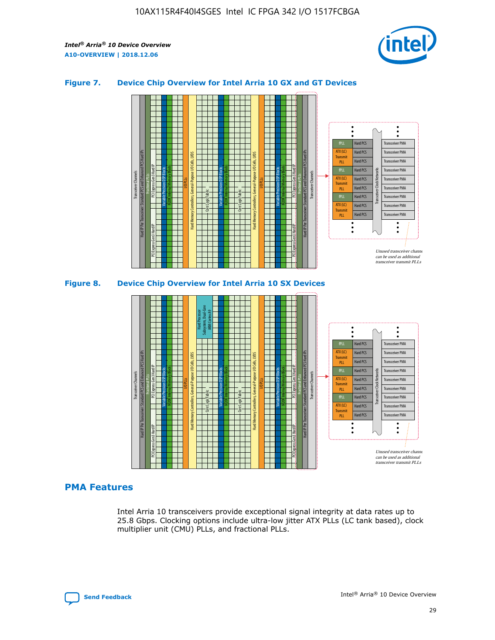

## **Figure 7. Device Chip Overview for Intel Arria 10 GX and GT Devices**





## **PMA Features**

Intel Arria 10 transceivers provide exceptional signal integrity at data rates up to 25.8 Gbps. Clocking options include ultra-low jitter ATX PLLs (LC tank based), clock multiplier unit (CMU) PLLs, and fractional PLLs.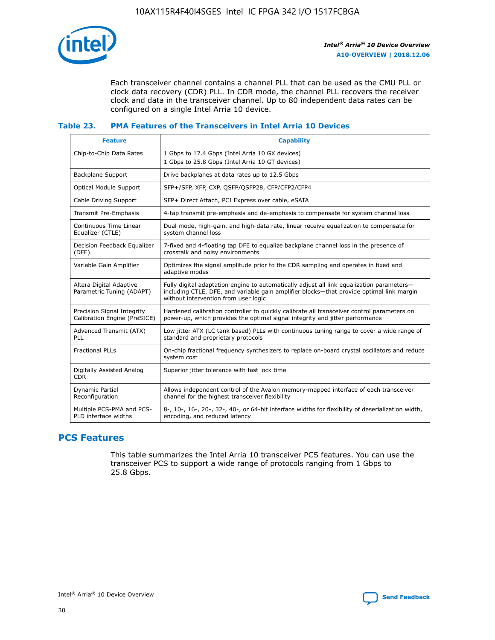

Each transceiver channel contains a channel PLL that can be used as the CMU PLL or clock data recovery (CDR) PLL. In CDR mode, the channel PLL recovers the receiver clock and data in the transceiver channel. Up to 80 independent data rates can be configured on a single Intel Arria 10 device.

## **Table 23. PMA Features of the Transceivers in Intel Arria 10 Devices**

| <b>Feature</b>                                             | <b>Capability</b>                                                                                                                                                                                                             |
|------------------------------------------------------------|-------------------------------------------------------------------------------------------------------------------------------------------------------------------------------------------------------------------------------|
| Chip-to-Chip Data Rates                                    | 1 Gbps to 17.4 Gbps (Intel Arria 10 GX devices)<br>1 Gbps to 25.8 Gbps (Intel Arria 10 GT devices)                                                                                                                            |
| <b>Backplane Support</b>                                   | Drive backplanes at data rates up to 12.5 Gbps                                                                                                                                                                                |
| <b>Optical Module Support</b>                              | SFP+/SFP, XFP, CXP, QSFP/QSFP28, CFP/CFP2/CFP4                                                                                                                                                                                |
| Cable Driving Support                                      | SFP+ Direct Attach, PCI Express over cable, eSATA                                                                                                                                                                             |
| Transmit Pre-Emphasis                                      | 4-tap transmit pre-emphasis and de-emphasis to compensate for system channel loss                                                                                                                                             |
| Continuous Time Linear<br>Equalizer (CTLE)                 | Dual mode, high-gain, and high-data rate, linear receive equalization to compensate for<br>system channel loss                                                                                                                |
| Decision Feedback Equalizer<br>(DFE)                       | 7-fixed and 4-floating tap DFE to equalize backplane channel loss in the presence of<br>crosstalk and noisy environments                                                                                                      |
| Variable Gain Amplifier                                    | Optimizes the signal amplitude prior to the CDR sampling and operates in fixed and<br>adaptive modes                                                                                                                          |
| Altera Digital Adaptive<br>Parametric Tuning (ADAPT)       | Fully digital adaptation engine to automatically adjust all link equalization parameters-<br>including CTLE, DFE, and variable gain amplifier blocks—that provide optimal link margin<br>without intervention from user logic |
| Precision Signal Integrity<br>Calibration Engine (PreSICE) | Hardened calibration controller to quickly calibrate all transceiver control parameters on<br>power-up, which provides the optimal signal integrity and jitter performance                                                    |
| Advanced Transmit (ATX)<br>PLL                             | Low jitter ATX (LC tank based) PLLs with continuous tuning range to cover a wide range of<br>standard and proprietary protocols                                                                                               |
| <b>Fractional PLLs</b>                                     | On-chip fractional frequency synthesizers to replace on-board crystal oscillators and reduce<br>system cost                                                                                                                   |
| Digitally Assisted Analog<br><b>CDR</b>                    | Superior jitter tolerance with fast lock time                                                                                                                                                                                 |
| Dynamic Partial<br>Reconfiguration                         | Allows independent control of the Avalon memory-mapped interface of each transceiver<br>channel for the highest transceiver flexibility                                                                                       |
| Multiple PCS-PMA and PCS-<br>PLD interface widths          | 8-, 10-, 16-, 20-, 32-, 40-, or 64-bit interface widths for flexibility of deserialization width,<br>encoding, and reduced latency                                                                                            |

## **PCS Features**

This table summarizes the Intel Arria 10 transceiver PCS features. You can use the transceiver PCS to support a wide range of protocols ranging from 1 Gbps to 25.8 Gbps.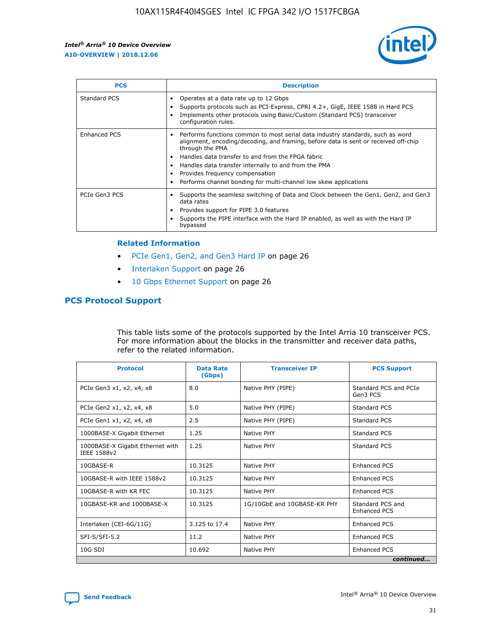

| <b>PCS</b>    | <b>Description</b>                                                                                                                                                                                                                                                                                                                                                                                             |
|---------------|----------------------------------------------------------------------------------------------------------------------------------------------------------------------------------------------------------------------------------------------------------------------------------------------------------------------------------------------------------------------------------------------------------------|
| Standard PCS  | Operates at a data rate up to 12 Gbps<br>Supports protocols such as PCI-Express, CPRI 4.2+, GigE, IEEE 1588 in Hard PCS<br>Implements other protocols using Basic/Custom (Standard PCS) transceiver<br>configuration rules.                                                                                                                                                                                    |
| Enhanced PCS  | Performs functions common to most serial data industry standards, such as word<br>alignment, encoding/decoding, and framing, before data is sent or received off-chip<br>through the PMA<br>• Handles data transfer to and from the FPGA fabric<br>Handles data transfer internally to and from the PMA<br>Provides frequency compensation<br>Performs channel bonding for multi-channel low skew applications |
| PCIe Gen3 PCS | Supports the seamless switching of Data and Clock between the Gen1, Gen2, and Gen3<br>data rates<br>Provides support for PIPE 3.0 features<br>Supports the PIPE interface with the Hard IP enabled, as well as with the Hard IP<br>bypassed                                                                                                                                                                    |

#### **Related Information**

- PCIe Gen1, Gen2, and Gen3 Hard IP on page 26
- Interlaken Support on page 26
- 10 Gbps Ethernet Support on page 26

## **PCS Protocol Support**

This table lists some of the protocols supported by the Intel Arria 10 transceiver PCS. For more information about the blocks in the transmitter and receiver data paths, refer to the related information.

| <b>Protocol</b>                                 | <b>Data Rate</b><br>(Gbps) | <b>Transceiver IP</b>       | <b>PCS Support</b>                      |
|-------------------------------------------------|----------------------------|-----------------------------|-----------------------------------------|
| PCIe Gen3 x1, x2, x4, x8                        | 8.0                        | Native PHY (PIPE)           | Standard PCS and PCIe<br>Gen3 PCS       |
| PCIe Gen2 x1, x2, x4, x8                        | 5.0                        | Native PHY (PIPE)           | <b>Standard PCS</b>                     |
| PCIe Gen1 x1, x2, x4, x8                        | 2.5                        | Native PHY (PIPE)           | Standard PCS                            |
| 1000BASE-X Gigabit Ethernet                     | 1.25                       | Native PHY                  | <b>Standard PCS</b>                     |
| 1000BASE-X Gigabit Ethernet with<br>IEEE 1588v2 | 1.25                       | Native PHY                  | Standard PCS                            |
| 10GBASE-R                                       | 10.3125                    | Native PHY                  | <b>Enhanced PCS</b>                     |
| 10GBASE-R with IEEE 1588v2                      | 10.3125                    | Native PHY                  | <b>Enhanced PCS</b>                     |
| 10GBASE-R with KR FEC                           | 10.3125                    | Native PHY                  | <b>Enhanced PCS</b>                     |
| 10GBASE-KR and 1000BASE-X                       | 10.3125                    | 1G/10GbE and 10GBASE-KR PHY | Standard PCS and<br><b>Enhanced PCS</b> |
| Interlaken (CEI-6G/11G)                         | 3.125 to 17.4              | Native PHY                  | <b>Enhanced PCS</b>                     |
| SFI-S/SFI-5.2                                   | 11.2                       | Native PHY                  | <b>Enhanced PCS</b>                     |
| $10G$ SDI                                       | 10.692                     | Native PHY                  | <b>Enhanced PCS</b>                     |
|                                                 |                            |                             | continued                               |

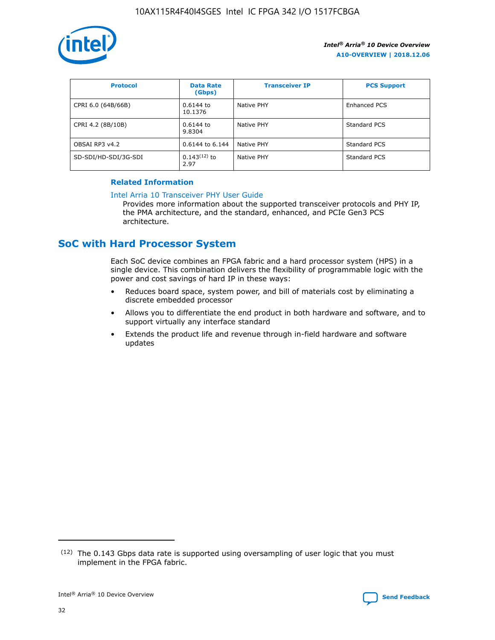

| <b>Protocol</b>      | <b>Data Rate</b><br>(Gbps) | <b>Transceiver IP</b> | <b>PCS Support</b> |
|----------------------|----------------------------|-----------------------|--------------------|
| CPRI 6.0 (64B/66B)   | 0.6144 to<br>10.1376       | Native PHY            | Enhanced PCS       |
| CPRI 4.2 (8B/10B)    | $0.6144$ to<br>9.8304      | Native PHY            | Standard PCS       |
| OBSAI RP3 v4.2       | 0.6144 to 6.144            | Native PHY            | Standard PCS       |
| SD-SDI/HD-SDI/3G-SDI | $0.143(12)$ to<br>2.97     | Native PHY            | Standard PCS       |

## **Related Information**

#### [Intel Arria 10 Transceiver PHY User Guide](https://www.intel.com/content/www/us/en/programmable/documentation/nik1398707230472.html#nik1398707091164)

Provides more information about the supported transceiver protocols and PHY IP, the PMA architecture, and the standard, enhanced, and PCIe Gen3 PCS architecture.

## **SoC with Hard Processor System**

Each SoC device combines an FPGA fabric and a hard processor system (HPS) in a single device. This combination delivers the flexibility of programmable logic with the power and cost savings of hard IP in these ways:

- Reduces board space, system power, and bill of materials cost by eliminating a discrete embedded processor
- Allows you to differentiate the end product in both hardware and software, and to support virtually any interface standard
- Extends the product life and revenue through in-field hardware and software updates

 $(12)$  The 0.143 Gbps data rate is supported using oversampling of user logic that you must implement in the FPGA fabric.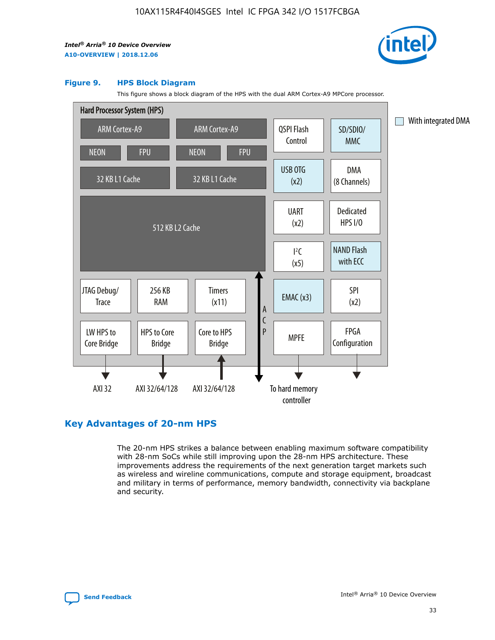

#### **Figure 9. HPS Block Diagram**

This figure shows a block diagram of the HPS with the dual ARM Cortex-A9 MPCore processor.



## **Key Advantages of 20-nm HPS**

The 20-nm HPS strikes a balance between enabling maximum software compatibility with 28-nm SoCs while still improving upon the 28-nm HPS architecture. These improvements address the requirements of the next generation target markets such as wireless and wireline communications, compute and storage equipment, broadcast and military in terms of performance, memory bandwidth, connectivity via backplane and security.

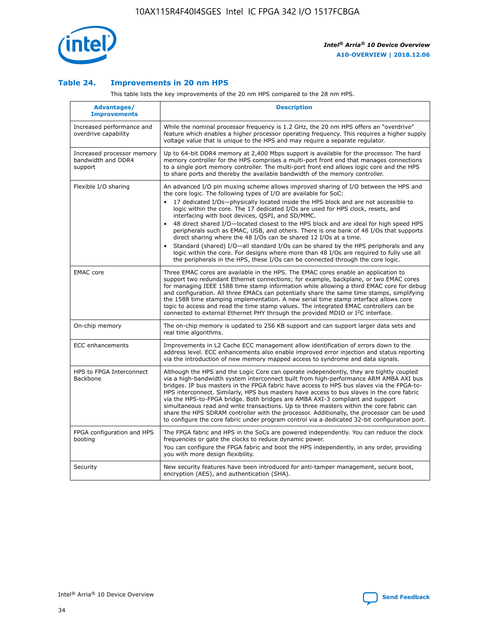

## **Table 24. Improvements in 20 nm HPS**

This table lists the key improvements of the 20 nm HPS compared to the 28 nm HPS.

| Advantages/<br><b>Improvements</b>                          | <b>Description</b>                                                                                                                                                                                                                                                                                                                                                                                                                                                                                                                                                                                                                                                                                                                                                                                                                                                                                                                                |
|-------------------------------------------------------------|---------------------------------------------------------------------------------------------------------------------------------------------------------------------------------------------------------------------------------------------------------------------------------------------------------------------------------------------------------------------------------------------------------------------------------------------------------------------------------------------------------------------------------------------------------------------------------------------------------------------------------------------------------------------------------------------------------------------------------------------------------------------------------------------------------------------------------------------------------------------------------------------------------------------------------------------------|
| Increased performance and<br>overdrive capability           | While the nominal processor frequency is 1.2 GHz, the 20 nm HPS offers an "overdrive"<br>feature which enables a higher processor operating frequency. This requires a higher supply<br>voltage value that is unique to the HPS and may require a separate regulator.                                                                                                                                                                                                                                                                                                                                                                                                                                                                                                                                                                                                                                                                             |
| Increased processor memory<br>bandwidth and DDR4<br>support | Up to 64-bit DDR4 memory at 2,400 Mbps support is available for the processor. The hard<br>memory controller for the HPS comprises a multi-port front end that manages connections<br>to a single port memory controller. The multi-port front end allows logic core and the HPS<br>to share ports and thereby the available bandwidth of the memory controller.                                                                                                                                                                                                                                                                                                                                                                                                                                                                                                                                                                                  |
| Flexible I/O sharing                                        | An advanced I/O pin muxing scheme allows improved sharing of I/O between the HPS and<br>the core logic. The following types of I/O are available for SoC:<br>17 dedicated I/Os-physically located inside the HPS block and are not accessible to<br>$\bullet$<br>logic within the core. The 17 dedicated I/Os are used for HPS clock, resets, and<br>interfacing with boot devices, QSPI, and SD/MMC.<br>48 direct shared I/O-located closest to the HPS block and are ideal for high speed HPS<br>$\bullet$<br>peripherals such as EMAC, USB, and others. There is one bank of 48 I/Os that supports<br>direct sharing where the 48 I/Os can be shared 12 I/Os at a time.<br>Standard (shared) I/O-all standard I/Os can be shared by the HPS peripherals and any<br>logic within the core. For designs where more than 48 I/Os are reguired to fully use all<br>the peripherals in the HPS, these I/Os can be connected through the core logic. |
| <b>EMAC</b> core                                            | Three EMAC cores are available in the HPS. The EMAC cores enable an application to<br>support two redundant Ethernet connections; for example, backplane, or two EMAC cores<br>for managing IEEE 1588 time stamp information while allowing a third EMAC core for debug<br>and configuration. All three EMACs can potentially share the same time stamps, simplifying<br>the 1588 time stamping implementation. A new serial time stamp interface allows core<br>logic to access and read the time stamp values. The integrated EMAC controllers can be<br>connected to external Ethernet PHY through the provided MDIO or I <sup>2</sup> C interface.                                                                                                                                                                                                                                                                                            |
| On-chip memory                                              | The on-chip memory is updated to 256 KB support and can support larger data sets and<br>real time algorithms.                                                                                                                                                                                                                                                                                                                                                                                                                                                                                                                                                                                                                                                                                                                                                                                                                                     |
| <b>ECC</b> enhancements                                     | Improvements in L2 Cache ECC management allow identification of errors down to the<br>address level. ECC enhancements also enable improved error injection and status reporting<br>via the introduction of new memory mapped access to syndrome and data signals.                                                                                                                                                                                                                                                                                                                                                                                                                                                                                                                                                                                                                                                                                 |
| HPS to FPGA Interconnect<br>Backbone                        | Although the HPS and the Logic Core can operate independently, they are tightly coupled<br>via a high-bandwidth system interconnect built from high-performance ARM AMBA AXI bus<br>bridges. IP bus masters in the FPGA fabric have access to HPS bus slaves via the FPGA-to-<br>HPS interconnect. Similarly, HPS bus masters have access to bus slaves in the core fabric<br>via the HPS-to-FPGA bridge. Both bridges are AMBA AXI-3 compliant and support<br>simultaneous read and write transactions. Up to three masters within the core fabric can<br>share the HPS SDRAM controller with the processor. Additionally, the processor can be used<br>to configure the core fabric under program control via a dedicated 32-bit configuration port.                                                                                                                                                                                            |
| FPGA configuration and HPS<br>booting                       | The FPGA fabric and HPS in the SoCs are powered independently. You can reduce the clock<br>frequencies or gate the clocks to reduce dynamic power.<br>You can configure the FPGA fabric and boot the HPS independently, in any order, providing<br>you with more design flexibility.                                                                                                                                                                                                                                                                                                                                                                                                                                                                                                                                                                                                                                                              |
| Security                                                    | New security features have been introduced for anti-tamper management, secure boot,<br>encryption (AES), and authentication (SHA).                                                                                                                                                                                                                                                                                                                                                                                                                                                                                                                                                                                                                                                                                                                                                                                                                |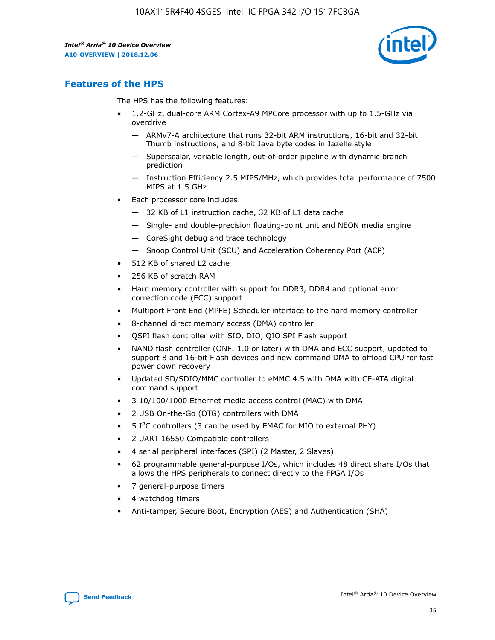

## **Features of the HPS**

The HPS has the following features:

- 1.2-GHz, dual-core ARM Cortex-A9 MPCore processor with up to 1.5-GHz via overdrive
	- ARMv7-A architecture that runs 32-bit ARM instructions, 16-bit and 32-bit Thumb instructions, and 8-bit Java byte codes in Jazelle style
	- Superscalar, variable length, out-of-order pipeline with dynamic branch prediction
	- Instruction Efficiency 2.5 MIPS/MHz, which provides total performance of 7500 MIPS at 1.5 GHz
- Each processor core includes:
	- 32 KB of L1 instruction cache, 32 KB of L1 data cache
	- Single- and double-precision floating-point unit and NEON media engine
	- CoreSight debug and trace technology
	- Snoop Control Unit (SCU) and Acceleration Coherency Port (ACP)
- 512 KB of shared L2 cache
- 256 KB of scratch RAM
- Hard memory controller with support for DDR3, DDR4 and optional error correction code (ECC) support
- Multiport Front End (MPFE) Scheduler interface to the hard memory controller
- 8-channel direct memory access (DMA) controller
- QSPI flash controller with SIO, DIO, QIO SPI Flash support
- NAND flash controller (ONFI 1.0 or later) with DMA and ECC support, updated to support 8 and 16-bit Flash devices and new command DMA to offload CPU for fast power down recovery
- Updated SD/SDIO/MMC controller to eMMC 4.5 with DMA with CE-ATA digital command support
- 3 10/100/1000 Ethernet media access control (MAC) with DMA
- 2 USB On-the-Go (OTG) controllers with DMA
- $\bullet$  5 I<sup>2</sup>C controllers (3 can be used by EMAC for MIO to external PHY)
- 2 UART 16550 Compatible controllers
- 4 serial peripheral interfaces (SPI) (2 Master, 2 Slaves)
- 62 programmable general-purpose I/Os, which includes 48 direct share I/Os that allows the HPS peripherals to connect directly to the FPGA I/Os
- 7 general-purpose timers
- 4 watchdog timers
- Anti-tamper, Secure Boot, Encryption (AES) and Authentication (SHA)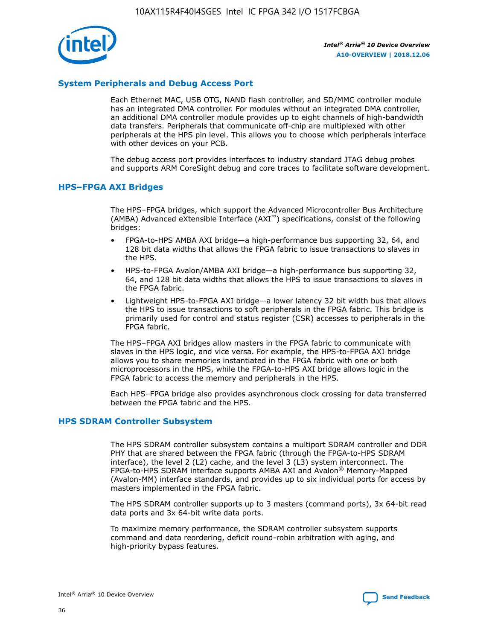

## **System Peripherals and Debug Access Port**

Each Ethernet MAC, USB OTG, NAND flash controller, and SD/MMC controller module has an integrated DMA controller. For modules without an integrated DMA controller, an additional DMA controller module provides up to eight channels of high-bandwidth data transfers. Peripherals that communicate off-chip are multiplexed with other peripherals at the HPS pin level. This allows you to choose which peripherals interface with other devices on your PCB.

The debug access port provides interfaces to industry standard JTAG debug probes and supports ARM CoreSight debug and core traces to facilitate software development.

## **HPS–FPGA AXI Bridges**

The HPS–FPGA bridges, which support the Advanced Microcontroller Bus Architecture (AMBA) Advanced eXtensible Interface (AXI™) specifications, consist of the following bridges:

- FPGA-to-HPS AMBA AXI bridge—a high-performance bus supporting 32, 64, and 128 bit data widths that allows the FPGA fabric to issue transactions to slaves in the HPS.
- HPS-to-FPGA Avalon/AMBA AXI bridge—a high-performance bus supporting 32, 64, and 128 bit data widths that allows the HPS to issue transactions to slaves in the FPGA fabric.
- Lightweight HPS-to-FPGA AXI bridge—a lower latency 32 bit width bus that allows the HPS to issue transactions to soft peripherals in the FPGA fabric. This bridge is primarily used for control and status register (CSR) accesses to peripherals in the FPGA fabric.

The HPS–FPGA AXI bridges allow masters in the FPGA fabric to communicate with slaves in the HPS logic, and vice versa. For example, the HPS-to-FPGA AXI bridge allows you to share memories instantiated in the FPGA fabric with one or both microprocessors in the HPS, while the FPGA-to-HPS AXI bridge allows logic in the FPGA fabric to access the memory and peripherals in the HPS.

Each HPS–FPGA bridge also provides asynchronous clock crossing for data transferred between the FPGA fabric and the HPS.

#### **HPS SDRAM Controller Subsystem**

The HPS SDRAM controller subsystem contains a multiport SDRAM controller and DDR PHY that are shared between the FPGA fabric (through the FPGA-to-HPS SDRAM interface), the level 2 (L2) cache, and the level 3 (L3) system interconnect. The FPGA-to-HPS SDRAM interface supports AMBA AXI and Avalon® Memory-Mapped (Avalon-MM) interface standards, and provides up to six individual ports for access by masters implemented in the FPGA fabric.

The HPS SDRAM controller supports up to 3 masters (command ports), 3x 64-bit read data ports and 3x 64-bit write data ports.

To maximize memory performance, the SDRAM controller subsystem supports command and data reordering, deficit round-robin arbitration with aging, and high-priority bypass features.

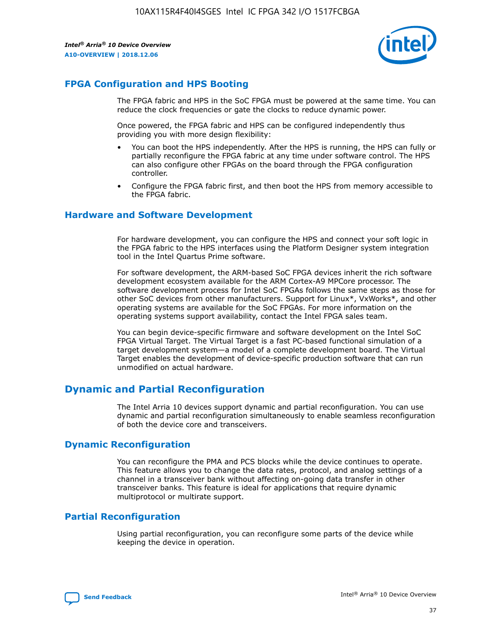

## **FPGA Configuration and HPS Booting**

The FPGA fabric and HPS in the SoC FPGA must be powered at the same time. You can reduce the clock frequencies or gate the clocks to reduce dynamic power.

Once powered, the FPGA fabric and HPS can be configured independently thus providing you with more design flexibility:

- You can boot the HPS independently. After the HPS is running, the HPS can fully or partially reconfigure the FPGA fabric at any time under software control. The HPS can also configure other FPGAs on the board through the FPGA configuration controller.
- Configure the FPGA fabric first, and then boot the HPS from memory accessible to the FPGA fabric.

## **Hardware and Software Development**

For hardware development, you can configure the HPS and connect your soft logic in the FPGA fabric to the HPS interfaces using the Platform Designer system integration tool in the Intel Quartus Prime software.

For software development, the ARM-based SoC FPGA devices inherit the rich software development ecosystem available for the ARM Cortex-A9 MPCore processor. The software development process for Intel SoC FPGAs follows the same steps as those for other SoC devices from other manufacturers. Support for Linux\*, VxWorks\*, and other operating systems are available for the SoC FPGAs. For more information on the operating systems support availability, contact the Intel FPGA sales team.

You can begin device-specific firmware and software development on the Intel SoC FPGA Virtual Target. The Virtual Target is a fast PC-based functional simulation of a target development system—a model of a complete development board. The Virtual Target enables the development of device-specific production software that can run unmodified on actual hardware.

## **Dynamic and Partial Reconfiguration**

The Intel Arria 10 devices support dynamic and partial reconfiguration. You can use dynamic and partial reconfiguration simultaneously to enable seamless reconfiguration of both the device core and transceivers.

## **Dynamic Reconfiguration**

You can reconfigure the PMA and PCS blocks while the device continues to operate. This feature allows you to change the data rates, protocol, and analog settings of a channel in a transceiver bank without affecting on-going data transfer in other transceiver banks. This feature is ideal for applications that require dynamic multiprotocol or multirate support.

## **Partial Reconfiguration**

Using partial reconfiguration, you can reconfigure some parts of the device while keeping the device in operation.

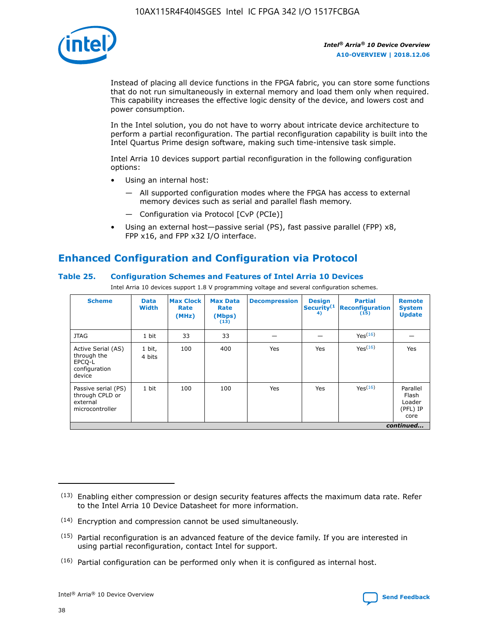

Instead of placing all device functions in the FPGA fabric, you can store some functions that do not run simultaneously in external memory and load them only when required. This capability increases the effective logic density of the device, and lowers cost and power consumption.

In the Intel solution, you do not have to worry about intricate device architecture to perform a partial reconfiguration. The partial reconfiguration capability is built into the Intel Quartus Prime design software, making such time-intensive task simple.

Intel Arria 10 devices support partial reconfiguration in the following configuration options:

- Using an internal host:
	- All supported configuration modes where the FPGA has access to external memory devices such as serial and parallel flash memory.
	- Configuration via Protocol [CvP (PCIe)]
- Using an external host—passive serial (PS), fast passive parallel (FPP) x8, FPP x16, and FPP x32 I/O interface.

# **Enhanced Configuration and Configuration via Protocol**

## **Table 25. Configuration Schemes and Features of Intel Arria 10 Devices**

Intel Arria 10 devices support 1.8 V programming voltage and several configuration schemes.

| <b>Scheme</b>                                                          | <b>Data</b><br><b>Width</b> | <b>Max Clock</b><br>Rate<br>(MHz) | <b>Max Data</b><br>Rate<br>(Mbps)<br>(13) | <b>Decompression</b> | <b>Design</b><br>Security <sup>(1</sup><br>4) | <b>Partial</b><br><b>Reconfiguration</b><br>(15) | <b>Remote</b><br><b>System</b><br><b>Update</b> |
|------------------------------------------------------------------------|-----------------------------|-----------------------------------|-------------------------------------------|----------------------|-----------------------------------------------|--------------------------------------------------|-------------------------------------------------|
| <b>JTAG</b>                                                            | 1 bit                       | 33                                | 33                                        |                      |                                               | Yes(16)                                          |                                                 |
| Active Serial (AS)<br>through the<br>EPCO-L<br>configuration<br>device | 1 bit,<br>4 bits            | 100                               | 400                                       | Yes                  | Yes                                           | $Y_{PS}(16)$                                     | Yes                                             |
| Passive serial (PS)<br>through CPLD or<br>external<br>microcontroller  | 1 bit                       | 100                               | 100                                       | Yes                  | Yes                                           | Yes(16)                                          | Parallel<br>Flash<br>Loader<br>(PFL) IP<br>core |
|                                                                        |                             |                                   |                                           |                      |                                               |                                                  | continued                                       |

<sup>(13)</sup> Enabling either compression or design security features affects the maximum data rate. Refer to the Intel Arria 10 Device Datasheet for more information.

<sup>(14)</sup> Encryption and compression cannot be used simultaneously.

 $(15)$  Partial reconfiguration is an advanced feature of the device family. If you are interested in using partial reconfiguration, contact Intel for support.

 $(16)$  Partial configuration can be performed only when it is configured as internal host.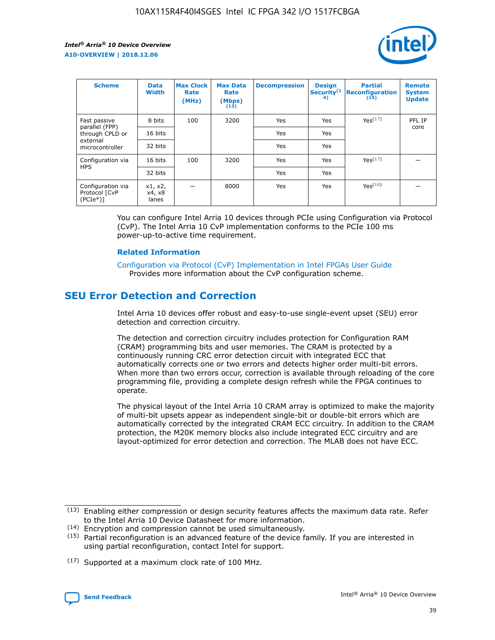

| <b>Scheme</b>                                    | <b>Data</b><br><b>Width</b> | <b>Max Clock</b><br>Rate<br>(MHz) | <b>Max Data</b><br>Rate<br>(Mbps)<br>(13) | <b>Decompression</b> | <b>Design</b><br>Security <sup>(1</sup><br>4) | <b>Partial</b><br><b>Reconfiguration</b><br>(15) | <b>Remote</b><br><b>System</b><br><b>Update</b> |
|--------------------------------------------------|-----------------------------|-----------------------------------|-------------------------------------------|----------------------|-----------------------------------------------|--------------------------------------------------|-------------------------------------------------|
| Fast passive                                     | 8 bits                      | 100                               | 3200                                      | Yes                  | Yes                                           | Yes(17)                                          | PFL IP                                          |
| parallel (FPP)<br>through CPLD or                | 16 bits                     |                                   |                                           | Yes                  | Yes                                           |                                                  | core                                            |
| external<br>microcontroller                      | 32 bits                     |                                   |                                           | Yes                  | Yes                                           |                                                  |                                                 |
| Configuration via                                | 16 bits                     | 100                               | 3200                                      | Yes                  | Yes                                           | Yes <sup>(17)</sup>                              |                                                 |
| <b>HPS</b>                                       | 32 bits                     |                                   |                                           | Yes                  | Yes                                           |                                                  |                                                 |
| Configuration via<br>Protocol [CvP<br>$(PCIe^*)$ | x1, x2,<br>x4, x8<br>lanes  |                                   | 8000                                      | Yes                  | Yes                                           | Yes(16)                                          |                                                 |

You can configure Intel Arria 10 devices through PCIe using Configuration via Protocol (CvP). The Intel Arria 10 CvP implementation conforms to the PCIe 100 ms power-up-to-active time requirement.

#### **Related Information**

[Configuration via Protocol \(CvP\) Implementation in Intel FPGAs User Guide](https://www.intel.com/content/www/us/en/programmable/documentation/dsu1441819344145.html#dsu1442269728522) Provides more information about the CvP configuration scheme.

## **SEU Error Detection and Correction**

Intel Arria 10 devices offer robust and easy-to-use single-event upset (SEU) error detection and correction circuitry.

The detection and correction circuitry includes protection for Configuration RAM (CRAM) programming bits and user memories. The CRAM is protected by a continuously running CRC error detection circuit with integrated ECC that automatically corrects one or two errors and detects higher order multi-bit errors. When more than two errors occur, correction is available through reloading of the core programming file, providing a complete design refresh while the FPGA continues to operate.

The physical layout of the Intel Arria 10 CRAM array is optimized to make the majority of multi-bit upsets appear as independent single-bit or double-bit errors which are automatically corrected by the integrated CRAM ECC circuitry. In addition to the CRAM protection, the M20K memory blocks also include integrated ECC circuitry and are layout-optimized for error detection and correction. The MLAB does not have ECC.

(14) Encryption and compression cannot be used simultaneously.

<sup>(17)</sup> Supported at a maximum clock rate of 100 MHz.



 $(13)$  Enabling either compression or design security features affects the maximum data rate. Refer to the Intel Arria 10 Device Datasheet for more information.

 $(15)$  Partial reconfiguration is an advanced feature of the device family. If you are interested in using partial reconfiguration, contact Intel for support.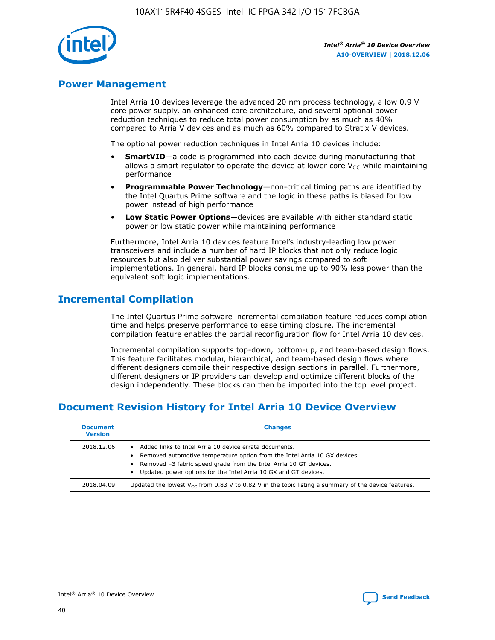

## **Power Management**

Intel Arria 10 devices leverage the advanced 20 nm process technology, a low 0.9 V core power supply, an enhanced core architecture, and several optional power reduction techniques to reduce total power consumption by as much as 40% compared to Arria V devices and as much as 60% compared to Stratix V devices.

The optional power reduction techniques in Intel Arria 10 devices include:

- **SmartVID**—a code is programmed into each device during manufacturing that allows a smart regulator to operate the device at lower core  $V_{CC}$  while maintaining performance
- **Programmable Power Technology**—non-critical timing paths are identified by the Intel Quartus Prime software and the logic in these paths is biased for low power instead of high performance
- **Low Static Power Options**—devices are available with either standard static power or low static power while maintaining performance

Furthermore, Intel Arria 10 devices feature Intel's industry-leading low power transceivers and include a number of hard IP blocks that not only reduce logic resources but also deliver substantial power savings compared to soft implementations. In general, hard IP blocks consume up to 90% less power than the equivalent soft logic implementations.

## **Incremental Compilation**

The Intel Quartus Prime software incremental compilation feature reduces compilation time and helps preserve performance to ease timing closure. The incremental compilation feature enables the partial reconfiguration flow for Intel Arria 10 devices.

Incremental compilation supports top-down, bottom-up, and team-based design flows. This feature facilitates modular, hierarchical, and team-based design flows where different designers compile their respective design sections in parallel. Furthermore, different designers or IP providers can develop and optimize different blocks of the design independently. These blocks can then be imported into the top level project.

## **Document Revision History for Intel Arria 10 Device Overview**

| <b>Document</b><br><b>Version</b> | <b>Changes</b>                                                                                                                                                                                                                                                              |
|-----------------------------------|-----------------------------------------------------------------------------------------------------------------------------------------------------------------------------------------------------------------------------------------------------------------------------|
| 2018.12.06                        | Added links to Intel Arria 10 device errata documents.<br>Removed automotive temperature option from the Intel Arria 10 GX devices.<br>Removed -3 fabric speed grade from the Intel Arria 10 GT devices.<br>Updated power options for the Intel Arria 10 GX and GT devices. |
| 2018.04.09                        | Updated the lowest $V_{CC}$ from 0.83 V to 0.82 V in the topic listing a summary of the device features.                                                                                                                                                                    |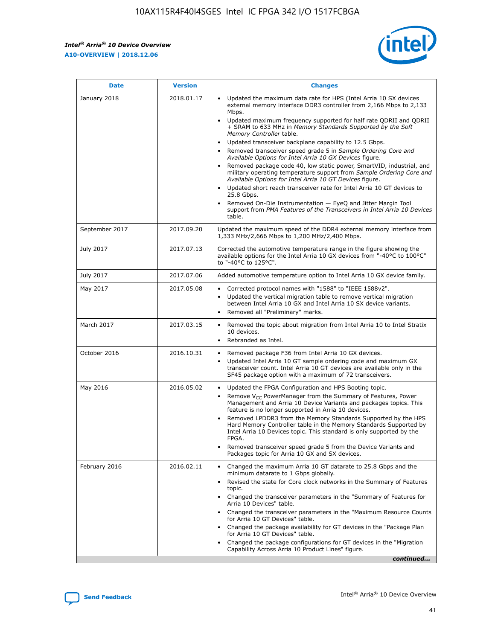

| <b>Date</b>    | <b>Version</b> | <b>Changes</b>                                                                                                                                                                                                                                                                                                                                                                                                                                                                                                                                                                                                                                                                                                                                                                                                                                                                                                                                               |
|----------------|----------------|--------------------------------------------------------------------------------------------------------------------------------------------------------------------------------------------------------------------------------------------------------------------------------------------------------------------------------------------------------------------------------------------------------------------------------------------------------------------------------------------------------------------------------------------------------------------------------------------------------------------------------------------------------------------------------------------------------------------------------------------------------------------------------------------------------------------------------------------------------------------------------------------------------------------------------------------------------------|
| January 2018   | 2018.01.17     | Updated the maximum data rate for HPS (Intel Arria 10 SX devices<br>external memory interface DDR3 controller from 2,166 Mbps to 2,133<br>Mbps.<br>Updated maximum frequency supported for half rate QDRII and QDRII<br>+ SRAM to 633 MHz in Memory Standards Supported by the Soft<br>Memory Controller table.<br>Updated transceiver backplane capability to 12.5 Gbps.<br>Removed transceiver speed grade 5 in Sample Ordering Core and<br>Available Options for Intel Arria 10 GX Devices figure.<br>Removed package code 40, low static power, SmartVID, industrial, and<br>military operating temperature support from Sample Ordering Core and<br>Available Options for Intel Arria 10 GT Devices figure.<br>Updated short reach transceiver rate for Intel Arria 10 GT devices to<br>25.8 Gbps.<br>Removed On-Die Instrumentation - EyeQ and Jitter Margin Tool<br>support from PMA Features of the Transceivers in Intel Arria 10 Devices<br>table. |
| September 2017 | 2017.09.20     | Updated the maximum speed of the DDR4 external memory interface from<br>1,333 MHz/2,666 Mbps to 1,200 MHz/2,400 Mbps.                                                                                                                                                                                                                                                                                                                                                                                                                                                                                                                                                                                                                                                                                                                                                                                                                                        |
| July 2017      | 2017.07.13     | Corrected the automotive temperature range in the figure showing the<br>available options for the Intel Arria 10 GX devices from "-40°C to 100°C"<br>to "-40°C to 125°C".                                                                                                                                                                                                                                                                                                                                                                                                                                                                                                                                                                                                                                                                                                                                                                                    |
| July 2017      | 2017.07.06     | Added automotive temperature option to Intel Arria 10 GX device family.                                                                                                                                                                                                                                                                                                                                                                                                                                                                                                                                                                                                                                                                                                                                                                                                                                                                                      |
| May 2017       | 2017.05.08     | Corrected protocol names with "1588" to "IEEE 1588v2".<br>Updated the vertical migration table to remove vertical migration<br>$\bullet$<br>between Intel Arria 10 GX and Intel Arria 10 SX device variants.<br>Removed all "Preliminary" marks.                                                                                                                                                                                                                                                                                                                                                                                                                                                                                                                                                                                                                                                                                                             |
| March 2017     | 2017.03.15     | Removed the topic about migration from Intel Arria 10 to Intel Stratix<br>10 devices.<br>Rebranded as Intel.<br>$\bullet$                                                                                                                                                                                                                                                                                                                                                                                                                                                                                                                                                                                                                                                                                                                                                                                                                                    |
| October 2016   | 2016.10.31     | Removed package F36 from Intel Arria 10 GX devices.<br>Updated Intel Arria 10 GT sample ordering code and maximum GX<br>$\bullet$<br>transceiver count. Intel Arria 10 GT devices are available only in the<br>SF45 package option with a maximum of 72 transceivers.                                                                                                                                                                                                                                                                                                                                                                                                                                                                                                                                                                                                                                                                                        |
| May 2016       | 2016.05.02     | Updated the FPGA Configuration and HPS Booting topic.<br>$\bullet$<br>Remove V <sub>CC</sub> PowerManager from the Summary of Features, Power<br>Management and Arria 10 Device Variants and packages topics. This<br>feature is no longer supported in Arria 10 devices.<br>Removed LPDDR3 from the Memory Standards Supported by the HPS<br>Hard Memory Controller table in the Memory Standards Supported by<br>Intel Arria 10 Devices topic. This standard is only supported by the<br>FPGA.<br>Removed transceiver speed grade 5 from the Device Variants and<br>Packages topic for Arria 10 GX and SX devices.                                                                                                                                                                                                                                                                                                                                         |
| February 2016  | 2016.02.11     | Changed the maximum Arria 10 GT datarate to 25.8 Gbps and the<br>minimum datarate to 1 Gbps globally.<br>Revised the state for Core clock networks in the Summary of Features<br>topic.<br>Changed the transceiver parameters in the "Summary of Features for<br>Arria 10 Devices" table.<br>Changed the transceiver parameters in the "Maximum Resource Counts"<br>for Arria 10 GT Devices" table.<br>Changed the package availability for GT devices in the "Package Plan<br>for Arria 10 GT Devices" table.<br>Changed the package configurations for GT devices in the "Migration"<br>Capability Across Arria 10 Product Lines" figure.<br>continued                                                                                                                                                                                                                                                                                                     |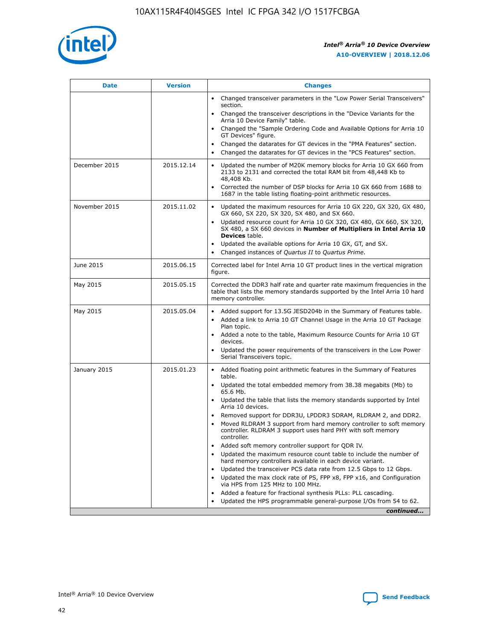

| <b>Date</b>   | <b>Version</b> | <b>Changes</b>                                                                                                                                                               |
|---------------|----------------|------------------------------------------------------------------------------------------------------------------------------------------------------------------------------|
|               |                | • Changed transceiver parameters in the "Low Power Serial Transceivers"<br>section.                                                                                          |
|               |                | • Changed the transceiver descriptions in the "Device Variants for the<br>Arria 10 Device Family" table.                                                                     |
|               |                | Changed the "Sample Ordering Code and Available Options for Arria 10<br>$\bullet$<br>GT Devices" figure.                                                                     |
|               |                | Changed the datarates for GT devices in the "PMA Features" section.                                                                                                          |
|               |                | Changed the datarates for GT devices in the "PCS Features" section.<br>$\bullet$                                                                                             |
| December 2015 | 2015.12.14     | Updated the number of M20K memory blocks for Arria 10 GX 660 from<br>2133 to 2131 and corrected the total RAM bit from 48,448 Kb to<br>48,408 Kb.                            |
|               |                | Corrected the number of DSP blocks for Arria 10 GX 660 from 1688 to<br>1687 in the table listing floating-point arithmetic resources.                                        |
| November 2015 | 2015.11.02     | Updated the maximum resources for Arria 10 GX 220, GX 320, GX 480,<br>$\bullet$<br>GX 660, SX 220, SX 320, SX 480, and SX 660.                                               |
|               |                | • Updated resource count for Arria 10 GX 320, GX 480, GX 660, SX 320,<br>SX 480, a SX 660 devices in Number of Multipliers in Intel Arria 10<br><b>Devices</b> table.        |
|               |                | Updated the available options for Arria 10 GX, GT, and SX.                                                                                                                   |
|               |                | Changed instances of Quartus II to Quartus Prime.<br>$\bullet$                                                                                                               |
| June 2015     | 2015.06.15     | Corrected label for Intel Arria 10 GT product lines in the vertical migration<br>figure.                                                                                     |
| May 2015      | 2015.05.15     | Corrected the DDR3 half rate and quarter rate maximum frequencies in the<br>table that lists the memory standards supported by the Intel Arria 10 hard<br>memory controller. |
| May 2015      | 2015.05.04     | • Added support for 13.5G JESD204b in the Summary of Features table.                                                                                                         |
|               |                | • Added a link to Arria 10 GT Channel Usage in the Arria 10 GT Package<br>Plan topic.                                                                                        |
|               |                | • Added a note to the table, Maximum Resource Counts for Arria 10 GT<br>devices.                                                                                             |
|               |                | • Updated the power requirements of the transceivers in the Low Power<br>Serial Transceivers topic.                                                                          |
| January 2015  | 2015.01.23     | • Added floating point arithmetic features in the Summary of Features<br>table.                                                                                              |
|               |                | • Updated the total embedded memory from 38.38 megabits (Mb) to<br>65.6 Mb.                                                                                                  |
|               |                | • Updated the table that lists the memory standards supported by Intel<br>Arria 10 devices.                                                                                  |
|               |                | Removed support for DDR3U, LPDDR3 SDRAM, RLDRAM 2, and DDR2.                                                                                                                 |
|               |                | Moved RLDRAM 3 support from hard memory controller to soft memory<br>controller. RLDRAM 3 support uses hard PHY with soft memory<br>controller.                              |
|               |                | Added soft memory controller support for QDR IV.<br>٠                                                                                                                        |
|               |                | Updated the maximum resource count table to include the number of<br>hard memory controllers available in each device variant.                                               |
|               |                | Updated the transceiver PCS data rate from 12.5 Gbps to 12 Gbps.<br>$\bullet$                                                                                                |
|               |                | Updated the max clock rate of PS, FPP x8, FPP x16, and Configuration<br>via HPS from 125 MHz to 100 MHz.                                                                     |
|               |                | Added a feature for fractional synthesis PLLs: PLL cascading.                                                                                                                |
|               |                | Updated the HPS programmable general-purpose I/Os from 54 to 62.<br>$\bullet$                                                                                                |
|               |                | continued                                                                                                                                                                    |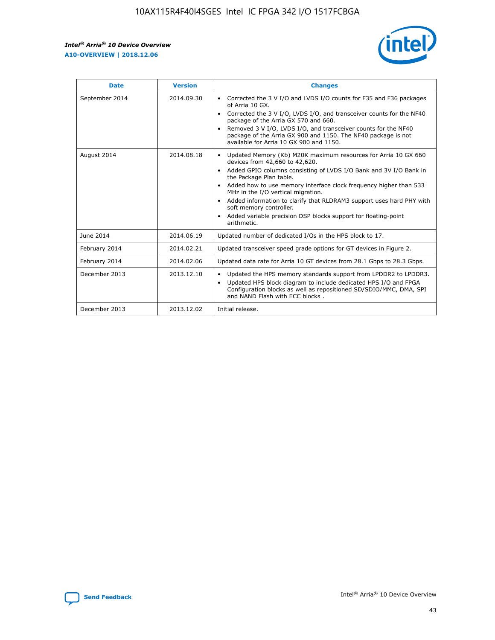

| <b>Date</b>    | <b>Version</b> | <b>Changes</b>                                                                                                                                                                                                                                                                                                                                                                                                                                                                                                                                      |
|----------------|----------------|-----------------------------------------------------------------------------------------------------------------------------------------------------------------------------------------------------------------------------------------------------------------------------------------------------------------------------------------------------------------------------------------------------------------------------------------------------------------------------------------------------------------------------------------------------|
| September 2014 | 2014.09.30     | Corrected the 3 V I/O and LVDS I/O counts for F35 and F36 packages<br>$\bullet$<br>of Arria 10 GX.<br>Corrected the 3 V I/O, LVDS I/O, and transceiver counts for the NF40<br>$\bullet$<br>package of the Arria GX 570 and 660.<br>Removed 3 V I/O, LVDS I/O, and transceiver counts for the NF40<br>package of the Arria GX 900 and 1150. The NF40 package is not<br>available for Arria 10 GX 900 and 1150.                                                                                                                                       |
| August 2014    | 2014.08.18     | Updated Memory (Kb) M20K maximum resources for Arria 10 GX 660<br>devices from 42,660 to 42,620.<br>Added GPIO columns consisting of LVDS I/O Bank and 3V I/O Bank in<br>$\bullet$<br>the Package Plan table.<br>Added how to use memory interface clock frequency higher than 533<br>$\bullet$<br>MHz in the I/O vertical migration.<br>Added information to clarify that RLDRAM3 support uses hard PHY with<br>$\bullet$<br>soft memory controller.<br>Added variable precision DSP blocks support for floating-point<br>$\bullet$<br>arithmetic. |
| June 2014      | 2014.06.19     | Updated number of dedicated I/Os in the HPS block to 17.                                                                                                                                                                                                                                                                                                                                                                                                                                                                                            |
| February 2014  | 2014.02.21     | Updated transceiver speed grade options for GT devices in Figure 2.                                                                                                                                                                                                                                                                                                                                                                                                                                                                                 |
| February 2014  | 2014.02.06     | Updated data rate for Arria 10 GT devices from 28.1 Gbps to 28.3 Gbps.                                                                                                                                                                                                                                                                                                                                                                                                                                                                              |
| December 2013  | 2013.12.10     | Updated the HPS memory standards support from LPDDR2 to LPDDR3.<br>Updated HPS block diagram to include dedicated HPS I/O and FPGA<br>$\bullet$<br>Configuration blocks as well as repositioned SD/SDIO/MMC, DMA, SPI<br>and NAND Flash with ECC blocks.                                                                                                                                                                                                                                                                                            |
| December 2013  | 2013.12.02     | Initial release.                                                                                                                                                                                                                                                                                                                                                                                                                                                                                                                                    |